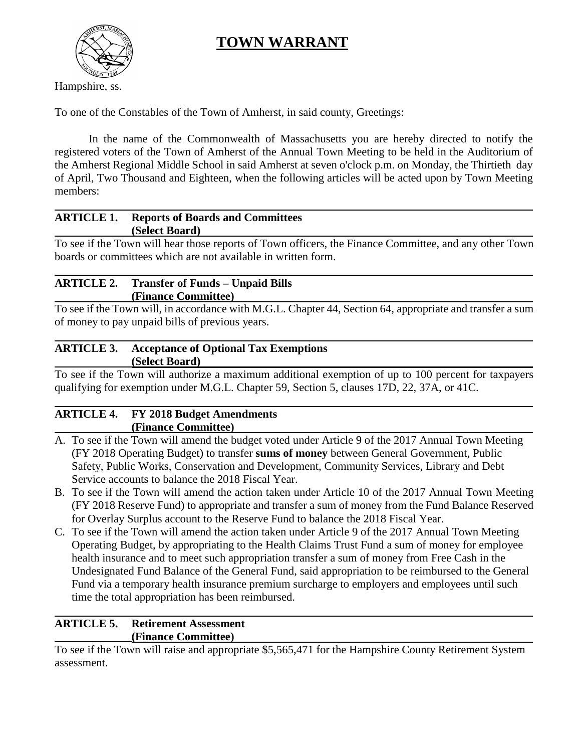# **TOWN WARRANT**



Hampshire, ss.

To one of the Constables of the Town of Amherst, in said county, Greetings:

In the name of the Commonwealth of Massachusetts you are hereby directed to notify the registered voters of the Town of Amherst of the Annual Town Meeting to be held in the Auditorium of the Amherst Regional Middle School in said Amherst at seven o'clock p.m. on Monday, the Thirtieth day of April, Two Thousand and Eighteen, when the following articles will be acted upon by Town Meeting members:

# **ARTICLE 1. Reports of Boards and Committees (Select Board)**

To see if the Town will hear those reports of Town officers, the Finance Committee, and any other Town boards or committees which are not available in written form.

# **ARTICLE 2. Transfer of Funds – Unpaid Bills (Finance Committee)**

To see if the Town will, in accordance with M.G.L. Chapter 44, Section 64, appropriate and transfer a sum of money to pay unpaid bills of previous years.

## **ARTICLE 3. Acceptance of Optional Tax Exemptions (Select Board)**

To see if the Town will authorize a maximum additional exemption of up to 100 percent for taxpayers qualifying for exemption under M.G.L. Chapter 59, Section 5, clauses 17D, 22, 37A, or 41C.

# **ARTICLE 4. FY 2018 Budget Amendments (Finance Committee)**

- A. To see if the Town will amend the budget voted under Article 9 of the 2017 Annual Town Meeting (FY 2018 Operating Budget) to transfer **sums of money** between General Government, Public Safety, Public Works, Conservation and Development, Community Services, Library and Debt Service accounts to balance the 2018 Fiscal Year.
- B. To see if the Town will amend the action taken under Article 10 of the 2017 Annual Town Meeting (FY 2018 Reserve Fund) to appropriate and transfer a sum of money from the Fund Balance Reserved for Overlay Surplus account to the Reserve Fund to balance the 2018 Fiscal Year.
- C. To see if the Town will amend the action taken under Article 9 of the 2017 Annual Town Meeting Operating Budget, by appropriating to the Health Claims Trust Fund a sum of money for employee health insurance and to meet such appropriation transfer a sum of money from Free Cash in the Undesignated Fund Balance of the General Fund, said appropriation to be reimbursed to the General Fund via a temporary health insurance premium surcharge to employers and employees until such time the total appropriation has been reimbursed.

## **ARTICLE 5. Retirement Assessment (Finance Committee)**

To see if the Town will raise and appropriate \$5,565,471 for the Hampshire County Retirement System assessment.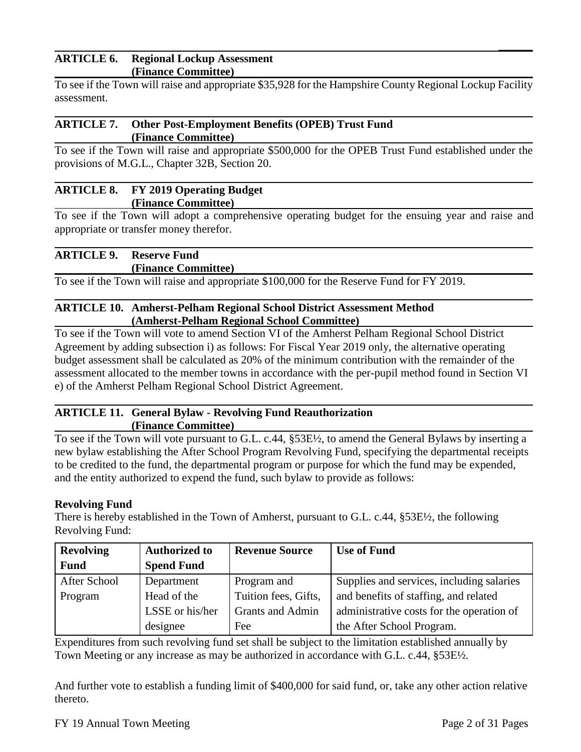#### **ARTICLE 6. Regional Lockup Assessment (Finance Committee)**

To see if the Town will raise and appropriate \$35,928 for the Hampshire County Regional Lockup Facility assessment.

#### **ARTICLE 7. Other Post-Employment Benefits (OPEB) Trust Fund (Finance Committee)**

To see if the Town will raise and appropriate \$500,000 for the OPEB Trust Fund established under the provisions of M.G.L., Chapter 32B, Section 20.

#### **ARTICLE 8. FY 2019 Operating Budget (Finance Committee)**

To see if the Town will adopt a comprehensive operating budget for the ensuing year and raise and appropriate or transfer money therefor.

# **ARTICLE 9. Reserve Fund**

**(Finance Committee)**

To see if the Town will raise and appropriate \$100,000 for the Reserve Fund for FY 2019.

## **ARTICLE 10. Amherst-Pelham Regional School District Assessment Method (Amherst-Pelham Regional School Committee)**

To see if the Town will vote to amend Section VI of the Amherst Pelham Regional School District Agreement by adding subsection i) as follows: For Fiscal Year 2019 only, the alternative operating budget assessment shall be calculated as 20% of the minimum contribution with the remainder of the assessment allocated to the member towns in accordance with the per-pupil method found in Section VI e) of the Amherst Pelham Regional School District Agreement.

## **ARTICLE 11. General Bylaw - Revolving Fund Reauthorization (Finance Committee)**

To see if the Town will vote pursuant to G.L. c.44, §53E½, to amend the General Bylaws by inserting a new bylaw establishing the After School Program Revolving Fund, specifying the departmental receipts to be credited to the fund, the departmental program or purpose for which the fund may be expended, and the entity authorized to expend the fund, such bylaw to provide as follows:

## **Revolving Fund**

There is hereby established in the Town of Amherst, pursuant to G.L. c.44, §53E½, the following Revolving Fund:

| <b>Revolving</b> | <b>Authorized to</b> | <b>Revenue Source</b> | <b>Use of Fund</b>                        |  |  |  |
|------------------|----------------------|-----------------------|-------------------------------------------|--|--|--|
| <b>Fund</b>      | <b>Spend Fund</b>    |                       |                                           |  |  |  |
| After School     | Department           | Program and           | Supplies and services, including salaries |  |  |  |
| Program          | Head of the          | Tuition fees, Gifts,  | and benefits of staffing, and related     |  |  |  |
|                  | LSSE or his/her      | Grants and Admin      | administrative costs for the operation of |  |  |  |
|                  | designee             | Fee                   | the After School Program.                 |  |  |  |

Expenditures from such revolving fund set shall be subject to the limitation established annually by Town Meeting or any increase as may be authorized in accordance with G.L. c.44, §53E½.

And further vote to establish a funding limit of \$400,000 for said fund, or, take any other action relative thereto.

 **\_\_\_\_\_\_**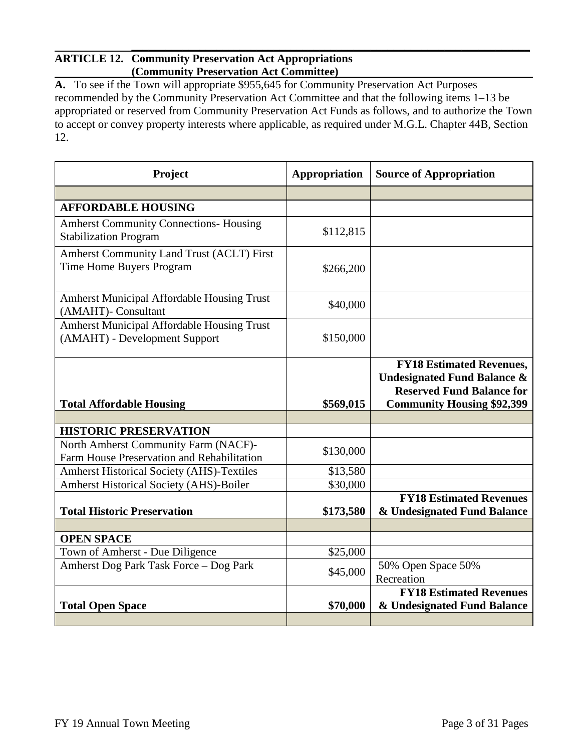#### **\_\_\_\_\_\_\_\_\_\_\_\_\_\_\_\_\_\_\_\_\_\_\_\_\_\_\_\_\_\_\_\_\_\_\_\_\_\_\_\_\_\_\_\_\_\_\_\_\_\_\_\_\_\_\_\_\_\_\_\_\_\_\_\_\_\_\_\_\_\_ ARTICLE 12. Community Preservation Act Appropriations (Community Preservation Act Committee)**

**A.** To see if the Town will appropriate \$955,645 for Community Preservation Act Purposes recommended by the Community Preservation Act Committee and that the following items 1–13 be appropriated or reserved from Community Preservation Act Funds as follows, and to authorize the Town to accept or convey property interests where applicable, as required under M.G.L. Chapter 44B, Section 12.

| Project                                                                            | Appropriation | <b>Source of Appropriation</b>                                                                                                                     |
|------------------------------------------------------------------------------------|---------------|----------------------------------------------------------------------------------------------------------------------------------------------------|
|                                                                                    |               |                                                                                                                                                    |
| <b>AFFORDABLE HOUSING</b>                                                          |               |                                                                                                                                                    |
| <b>Amherst Community Connections- Housing</b><br><b>Stabilization Program</b>      | \$112,815     |                                                                                                                                                    |
| <b>Amherst Community Land Trust (ACLT) First</b><br>Time Home Buyers Program       | \$266,200     |                                                                                                                                                    |
| <b>Amherst Municipal Affordable Housing Trust</b><br>(AMAHT)- Consultant           | \$40,000      |                                                                                                                                                    |
| Amherst Municipal Affordable Housing Trust<br>(AMAHT) - Development Support        | \$150,000     |                                                                                                                                                    |
| <b>Total Affordable Housing</b>                                                    | \$569,015     | <b>FY18 Estimated Revenues,</b><br><b>Undesignated Fund Balance &amp;</b><br><b>Reserved Fund Balance for</b><br><b>Community Housing \$92,399</b> |
| <b>HISTORIC PRESERVATION</b>                                                       |               |                                                                                                                                                    |
|                                                                                    |               |                                                                                                                                                    |
| North Amherst Community Farm (NACF)-<br>Farm House Preservation and Rehabilitation | \$130,000     |                                                                                                                                                    |
| <b>Amherst Historical Society (AHS)-Textiles</b>                                   | \$13,580      |                                                                                                                                                    |
| <b>Amherst Historical Society (AHS)-Boiler</b>                                     | \$30,000      |                                                                                                                                                    |
| <b>Total Historic Preservation</b>                                                 | \$173,580     | <b>FY18 Estimated Revenues</b><br>& Undesignated Fund Balance                                                                                      |
|                                                                                    |               |                                                                                                                                                    |
| <b>OPEN SPACE</b>                                                                  |               |                                                                                                                                                    |
| Town of Amherst - Due Diligence                                                    | \$25,000      |                                                                                                                                                    |
| Amherst Dog Park Task Force - Dog Park                                             | \$45,000      | 50% Open Space 50%<br>Recreation                                                                                                                   |
| <b>Total Open Space</b>                                                            | \$70,000      | <b>FY18 Estimated Revenues</b><br>& Undesignated Fund Balance                                                                                      |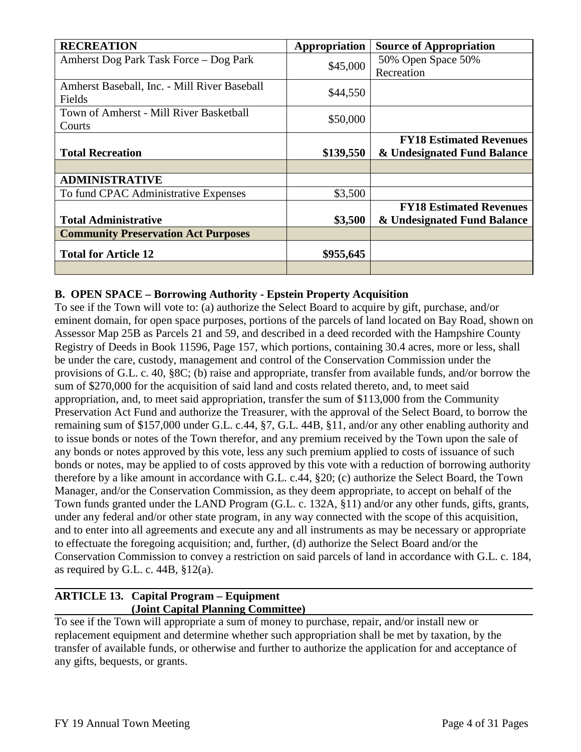| <b>RECREATION</b>                            | Appropriation | <b>Source of Appropriation</b> |
|----------------------------------------------|---------------|--------------------------------|
| Amherst Dog Park Task Force – Dog Park       | \$45,000      | 50% Open Space 50%             |
|                                              |               | Recreation                     |
| Amherst Baseball, Inc. - Mill River Baseball | \$44,550      |                                |
| Fields                                       |               |                                |
| Town of Amherst - Mill River Basketball      | \$50,000      |                                |
| Courts                                       |               |                                |
|                                              |               | <b>FY18 Estimated Revenues</b> |
| <b>Total Recreation</b>                      | \$139,550     | & Undesignated Fund Balance    |
|                                              |               |                                |
| <b>ADMINISTRATIVE</b>                        |               |                                |
| To fund CPAC Administrative Expenses         | \$3,500       |                                |
|                                              |               | <b>FY18 Estimated Revenues</b> |
| <b>Total Administrative</b>                  | \$3,500       | & Undesignated Fund Balance    |
| <b>Community Preservation Act Purposes</b>   |               |                                |
| <b>Total for Article 12</b>                  | \$955,645     |                                |
|                                              |               |                                |

## **B. OPEN SPACE – Borrowing Authority - Epstein Property Acquisition**

To see if the Town will vote to: (a) authorize the Select Board to acquire by gift, purchase, and/or eminent domain, for open space purposes, portions of the parcels of land located on Bay Road, shown on Assessor Map 25B as Parcels 21 and 59, and described in a deed recorded with the Hampshire County Registry of Deeds in Book 11596, Page 157, which portions, containing 30.4 acres, more or less, shall be under the care, custody, management and control of the Conservation Commission under the provisions of G.L. c. 40, §8C; (b) raise and appropriate, transfer from available funds, and/or borrow the sum of \$270,000 for the acquisition of said land and costs related thereto, and, to meet said appropriation, and, to meet said appropriation, transfer the sum of \$113,000 from the Community Preservation Act Fund and authorize the Treasurer, with the approval of the Select Board, to borrow the remaining sum of \$157,000 under G.L. c.44, §7, G.L. 44B, §11, and/or any other enabling authority and to issue bonds or notes of the Town therefor, and any premium received by the Town upon the sale of any bonds or notes approved by this vote, less any such premium applied to costs of issuance of such bonds or notes, may be applied to of costs approved by this vote with a reduction of borrowing authority therefore by a like amount in accordance with G.L. c.44, §20; (c) authorize the Select Board, the Town Manager, and/or the Conservation Commission, as they deem appropriate, to accept on behalf of the Town funds granted under the LAND Program (G.L. c. 132A, §11) and/or any other funds, gifts, grants, under any federal and/or other state program, in any way connected with the scope of this acquisition, and to enter into all agreements and execute any and all instruments as may be necessary or appropriate to effectuate the foregoing acquisition; and, further, (d) authorize the Select Board and/or the Conservation Commission to convey a restriction on said parcels of land in accordance with G.L. c. 184, as required by G.L. c.  $44B$ ,  $$12(a)$ .

#### **ARTICLE 13. Capital Program – Equipment (Joint Capital Planning Committee)**

To see if the Town will appropriate a sum of money to purchase, repair, and/or install new or replacement equipment and determine whether such appropriation shall be met by taxation, by the transfer of available funds, or otherwise and further to authorize the application for and acceptance of any gifts, bequests, or grants.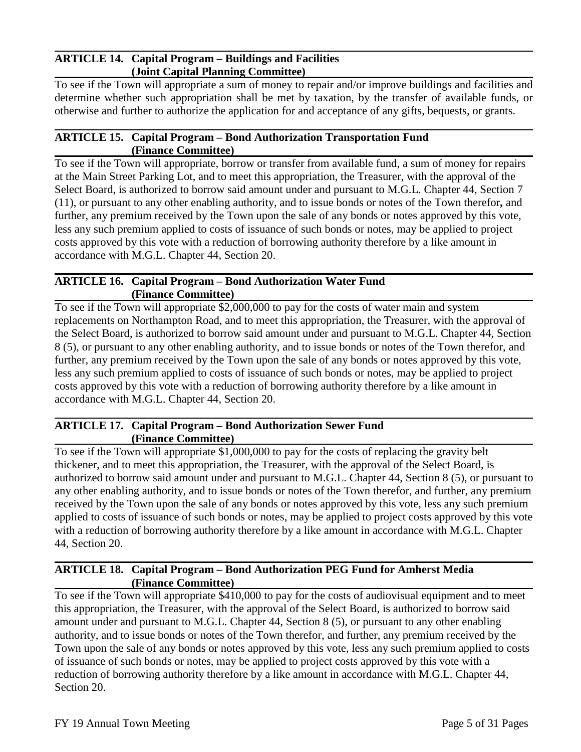#### **ARTICLE 14. Capital Program – Buildings and Facilities (Joint Capital Planning Committee)**

To see if the Town will appropriate a sum of money to repair and/or improve buildings and facilities and determine whether such appropriation shall be met by taxation, by the transfer of available funds, or otherwise and further to authorize the application for and acceptance of any gifts, bequests, or grants.

#### **ARTICLE 15. Capital Program – Bond Authorization Transportation Fund (Finance Committee)**

To see if the Town will appropriate, borrow or transfer from available fund, a sum of money for repairs at the Main Street Parking Lot, and to meet this appropriation, the Treasurer, with the approval of the Select Board, is authorized to borrow said amount under and pursuant to M.G.L. Chapter 44, Section 7 (11), or pursuant to any other enabling authority, and to issue bonds or notes of the Town therefor**,** and further, any premium received by the Town upon the sale of any bonds or notes approved by this vote, less any such premium applied to costs of issuance of such bonds or notes, may be applied to project costs approved by this vote with a reduction of borrowing authority therefore by a like amount in accordance with M.G.L. Chapter 44, Section 20.

#### **ARTICLE 16. Capital Program – Bond Authorization Water Fund (Finance Committee)**

To see if the Town will appropriate \$2,000,000 to pay for the costs of water main and system replacements on Northampton Road, and to meet this appropriation, the Treasurer, with the approval of the Select Board, is authorized to borrow said amount under and pursuant to M.G.L. Chapter 44, Section 8 (5), or pursuant to any other enabling authority, and to issue bonds or notes of the Town therefor, and further, any premium received by the Town upon the sale of any bonds or notes approved by this vote, less any such premium applied to costs of issuance of such bonds or notes, may be applied to project costs approved by this vote with a reduction of borrowing authority therefore by a like amount in accordance with M.G.L. Chapter 44, Section 20.

#### **ARTICLE 17. Capital Program – Bond Authorization Sewer Fund (Finance Committee)**

To see if the Town will appropriate \$1,000,000 to pay for the costs of replacing the gravity belt thickener, and to meet this appropriation, the Treasurer, with the approval of the Select Board, is authorized to borrow said amount under and pursuant to M.G.L. Chapter 44, Section 8 (5), or pursuant to any other enabling authority, and to issue bonds or notes of the Town therefor, and further, any premium received by the Town upon the sale of any bonds or notes approved by this vote, less any such premium applied to costs of issuance of such bonds or notes, may be applied to project costs approved by this vote with a reduction of borrowing authority therefore by a like amount in accordance with M.G.L. Chapter 44, Section 20.

#### **ARTICLE 18. Capital Program – Bond Authorization PEG Fund for Amherst Media (Finance Committee)**

To see if the Town will appropriate \$410,000 to pay for the costs of audiovisual equipment and to meet this appropriation, the Treasurer, with the approval of the Select Board, is authorized to borrow said amount under and pursuant to M.G.L. Chapter 44, Section 8 (5), or pursuant to any other enabling authority, and to issue bonds or notes of the Town therefor, and further, any premium received by the Town upon the sale of any bonds or notes approved by this vote, less any such premium applied to costs of issuance of such bonds or notes, may be applied to project costs approved by this vote with a reduction of borrowing authority therefore by a like amount in accordance with M.G.L. Chapter 44, Section 20.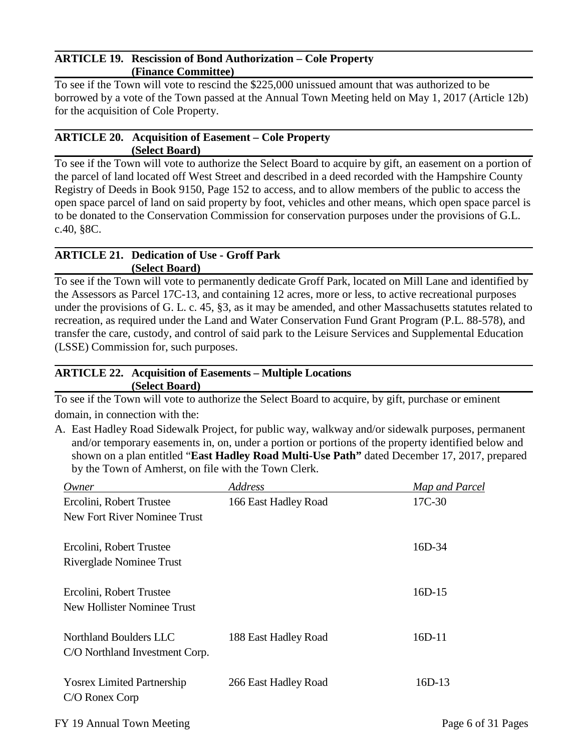#### **ARTICLE 19. Rescission of Bond Authorization – Cole Property (Finance Committee)**

To see if the Town will vote to rescind the \$225,000 unissued amount that was authorized to be borrowed by a vote of the Town passed at the Annual Town Meeting held on May 1, 2017 (Article 12b) for the acquisition of Cole Property.

#### **ARTICLE 20. Acquisition of Easement – Cole Property (Select Board)**

To see if the Town will vote to authorize the Select Board to acquire by gift, an easement on a portion of the parcel of land located off West Street and described in a deed recorded with the Hampshire County Registry of Deeds in Book 9150, Page 152 to access, and to allow members of the public to access the open space parcel of land on said property by foot, vehicles and other means, which open space parcel is to be donated to the Conservation Commission for conservation purposes under the provisions of G.L. c.40, §8C.

#### **ARTICLE 21. Dedication of Use - Groff Park (Select Board)**

To see if the Town will vote to permanently dedicate Groff Park, located on Mill Lane and identified by the Assessors as Parcel 17C-13, and containing 12 acres, more or less, to active recreational purposes under the provisions of G. L. c. 45, §3, as it may be amended, and other Massachusetts statutes related to recreation, as required under the Land and Water Conservation Fund Grant Program (P.L. 88-578), and transfer the care, custody, and control of said park to the Leisure Services and Supplemental Education (LSSE) Commission for, such purposes.

## **ARTICLE 22. Acquisition of Easements – Multiple Locations (Select Board)**

To see if the Town will vote to authorize the Select Board to acquire, by gift, purchase or eminent domain, in connection with the:

A. East Hadley Road Sidewalk Project, for public way, walkway and/or sidewalk purposes, permanent and/or temporary easements in, on, under a portion or portions of the property identified below and shown on a plan entitled "**East Hadley Road Multi-Use Path"** dated December 17, 2017, prepared by the Town of Amherst, on file with the Town Clerk.

| Owner                              | <b>Address</b>       | Map and Parcel     |
|------------------------------------|----------------------|--------------------|
| Ercolini, Robert Trustee           | 166 East Hadley Road | 17C-30             |
| New Fort River Nominee Trust       |                      |                    |
| Ercolini, Robert Trustee           |                      | $16D-34$           |
| Riverglade Nominee Trust           |                      |                    |
| Ercolini, Robert Trustee           |                      | $16D-15$           |
| <b>New Hollister Nominee Trust</b> |                      |                    |
| Northland Boulders LLC             | 188 East Hadley Road | $16D-11$           |
| C/O Northland Investment Corp.     |                      |                    |
| <b>Yosrex Limited Partnership</b>  | 266 East Hadley Road | $16D-13$           |
| C/O Ronex Corp                     |                      |                    |
| FY 19 Annual Town Meeting          |                      | Page 6 of 31 Pages |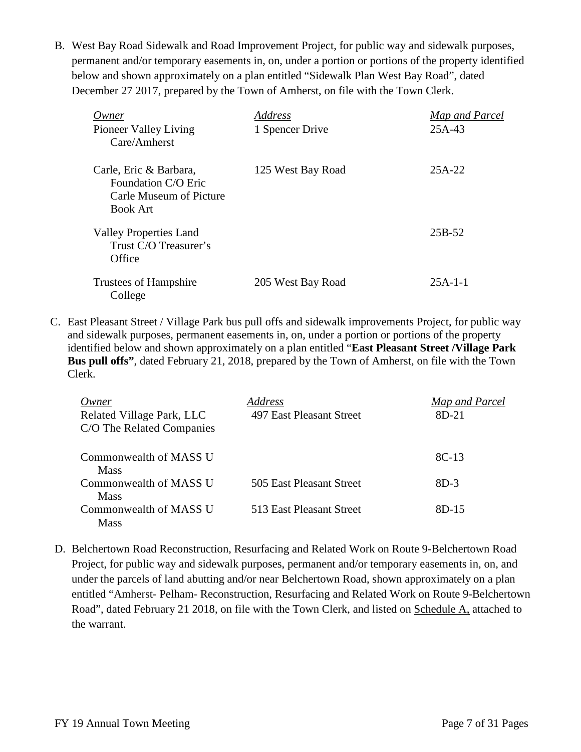B. West Bay Road Sidewalk and Road Improvement Project, for public way and sidewalk purposes, permanent and/or temporary easements in, on, under a portion or portions of the property identified below and shown approximately on a plan entitled "Sidewalk Plan West Bay Road", dated December 27 2017, prepared by the Town of Amherst, on file with the Town Clerk.

| Owner<br>Pioneer Valley Living<br>Care/Amherst                                              | Address<br>1 Spencer Drive | Map and Parcel<br>25A-43 |
|---------------------------------------------------------------------------------------------|----------------------------|--------------------------|
| Carle, Eric & Barbara,<br>Foundation C/O Eric<br>Carle Museum of Picture<br><b>Book Art</b> | 125 West Bay Road          | $25A-22$                 |
| <b>Valley Properties Land</b><br>Trust C/O Treasurer's<br>Office                            |                            | 25B-52                   |
| Trustees of Hampshire<br>College                                                            | 205 West Bay Road          | $25A-1-1$                |

C. East Pleasant Street / Village Park bus pull offs and sidewalk improvements Project, for public way and sidewalk purposes, permanent easements in, on, under a portion or portions of the property identified below and shown approximately on a plan entitled "**East Pleasant Street /Village Park Bus pull offs"**, dated February 21, 2018, prepared by the Town of Amherst, on file with the Town Clerk.

| Owner<br>Related Village Park, LLC<br>C/O The Related Companies | Address<br>497 East Pleasant Street | Map and Parcel<br>8D-21 |
|-----------------------------------------------------------------|-------------------------------------|-------------------------|
| Commonwealth of MASS U<br><b>Mass</b>                           |                                     | $8C-13$                 |
| Commonwealth of MASS U<br><b>Mass</b>                           | 505 East Pleasant Street            | $8D-3$                  |
| Commonwealth of MASS U<br><b>Mass</b>                           | 513 East Pleasant Street            | $8D-15$                 |

D. Belchertown Road Reconstruction, Resurfacing and Related Work on Route 9-Belchertown Road Project, for public way and sidewalk purposes, permanent and/or temporary easements in, on, and under the parcels of land abutting and/or near Belchertown Road, shown approximately on a plan entitled "Amherst- Pelham- Reconstruction, Resurfacing and Related Work on Route 9-Belchertown Road", dated February 21 2018, on file with the Town Clerk, and listed on Schedule A, attached to the warrant.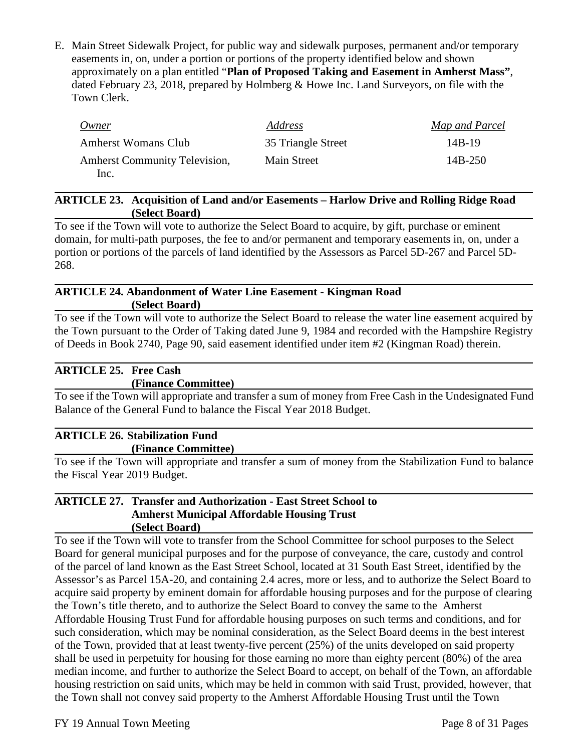E. Main Street Sidewalk Project, for public way and sidewalk purposes, permanent and/or temporary easements in, on, under a portion or portions of the property identified below and shown approximately on a plan entitled "**Plan of Proposed Taking and Easement in Amherst Mass"**, dated February 23, 2018, prepared by Holmberg & Howe Inc. Land Surveyors, on file with the Town Clerk.

| Owner                                | Address            | Map and Parcel |
|--------------------------------------|--------------------|----------------|
| <b>Amherst Womans Club</b>           | 35 Triangle Street | $14B-19$       |
| <b>Amherst Community Television,</b> | Main Street        | $14B-250$      |
| Inc.                                 |                    |                |

#### **ARTICLE 23. Acquisition of Land and/or Easements – Harlow Drive and Rolling Ridge Road (Select Board)**

To see if the Town will vote to authorize the Select Board to acquire, by gift, purchase or eminent domain, for multi-path purposes, the fee to and/or permanent and temporary easements in, on, under a portion or portions of the parcels of land identified by the Assessors as Parcel 5D-267 and Parcel 5D-268.

#### **ARTICLE 24. Abandonment of Water Line Easement - Kingman Road (Select Board)**

To see if the Town will vote to authorize the Select Board to release the water line easement acquired by the Town pursuant to the Order of Taking dated June 9, 1984 and recorded with the Hampshire Registry of Deeds in Book 2740, Page 90, said easement identified under item #2 (Kingman Road) therein.

# **ARTICLE 25. Free Cash**

## **(Finance Committee)**

To see if the Town will appropriate and transfer a sum of money from Free Cash in the Undesignated Fund Balance of the General Fund to balance the Fiscal Year 2018 Budget.

# **ARTICLE 26. Stabilization Fund**

## **(Finance Committee)**

To see if the Town will appropriate and transfer a sum of money from the Stabilization Fund to balance the Fiscal Year 2019 Budget.

#### **ARTICLE 27. Transfer and Authorization - East Street School to Amherst Municipal Affordable Housing Trust (Select Board)**

To see if the Town will vote to transfer from the School Committee for school purposes to the Select Board for general municipal purposes and for the purpose of conveyance, the care, custody and control of the parcel of land known as the East Street School, located at 31 South East Street, identified by the Assessor's as Parcel 15A-20, and containing 2.4 acres, more or less, and to authorize the Select Board to acquire said property by eminent domain for affordable housing purposes and for the purpose of clearing the Town's title thereto, and to authorize the Select Board to convey the same to the Amherst Affordable Housing Trust Fund for affordable housing purposes on such terms and conditions, and for such consideration, which may be nominal consideration, as the Select Board deems in the best interest of the Town, provided that at least twenty-five percent (25%) of the units developed on said property shall be used in perpetuity for housing for those earning no more than eighty percent (80%) of the area median income, and further to authorize the Select Board to accept, on behalf of the Town, an affordable housing restriction on said units, which may be held in common with said Trust, provided, however, that the Town shall not convey said property to the Amherst Affordable Housing Trust until the Town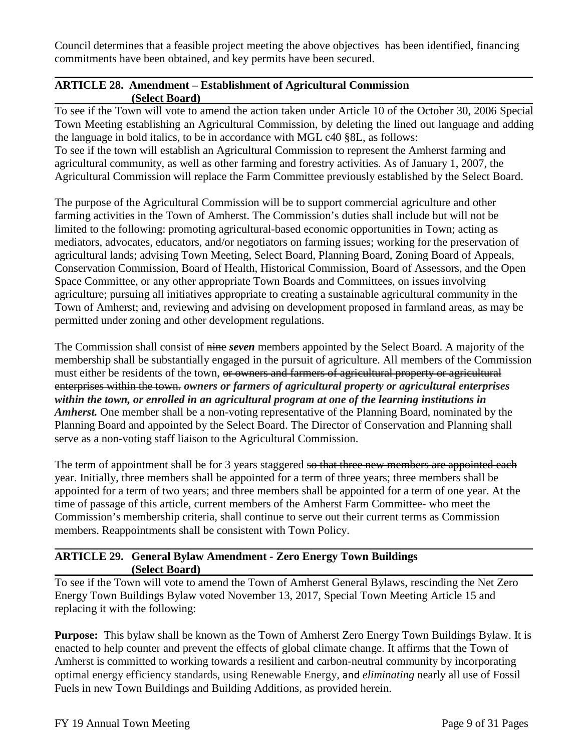Council determines that a feasible project meeting the above objectives has been identified, financing commitments have been obtained, and key permits have been secured.

## **ARTICLE 28. Amendment – Establishment of Agricultural Commission (Select Board)**

To see if the Town will vote to amend the action taken under Article 10 of the October 30, 2006 Special Town Meeting establishing an Agricultural Commission, by deleting the lined out language and adding the language in bold italics, to be in accordance with MGL c40 §8L, as follows: To see if the town will establish an Agricultural Commission to represent the Amherst farming and agricultural community, as well as other farming and forestry activities. As of January 1, 2007, the Agricultural Commission will replace the Farm Committee previously established by the Select Board.

The purpose of the Agricultural Commission will be to support commercial agriculture and other farming activities in the Town of Amherst. The Commission's duties shall include but will not be limited to the following: promoting agricultural-based economic opportunities in Town; acting as mediators, advocates, educators, and/or negotiators on farming issues; working for the preservation of agricultural lands; advising Town Meeting, Select Board, Planning Board, Zoning Board of Appeals, Conservation Commission, Board of Health, Historical Commission, Board of Assessors, and the Open Space Committee, or any other appropriate Town Boards and Committees, on issues involving agriculture; pursuing all initiatives appropriate to creating a sustainable agricultural community in the Town of Amherst; and, reviewing and advising on development proposed in farmland areas, as may be permitted under zoning and other development regulations.

The Commission shall consist of nine *seven* members appointed by the Select Board. A majority of the membership shall be substantially engaged in the pursuit of agriculture. All members of the Commission must either be residents of the town, or owners and farmers of agricultural property or agricultural enterprises within the town. *owners or farmers of agricultural property or agricultural enterprises within the town, or enrolled in an agricultural program at one of the learning institutions in Amherst.* One member shall be a non-voting representative of the Planning Board, nominated by the Planning Board and appointed by the Select Board. The Director of Conservation and Planning shall serve as a non-voting staff liaison to the Agricultural Commission.

The term of appointment shall be for 3 years staggered so that three new members are appointed each year. Initially, three members shall be appointed for a term of three years; three members shall be appointed for a term of two years; and three members shall be appointed for a term of one year. At the time of passage of this article, current members of the Amherst Farm Committee- who meet the Commission's membership criteria, shall continue to serve out their current terms as Commission members. Reappointments shall be consistent with Town Policy.

## **ARTICLE 29. General Bylaw Amendment - Zero Energy Town Buildings (Select Board)**

To see if the Town will vote to amend the Town of Amherst General Bylaws, rescinding the Net Zero Energy Town Buildings Bylaw voted November 13, 2017, Special Town Meeting Article 15 and replacing it with the following:

**Purpose:** This bylaw shall be known as the Town of Amherst Zero Energy Town Buildings Bylaw. It is enacted to help counter and prevent the effects of global climate change. It affirms that the Town of Amherst is committed to working towards a resilient and carbon-neutral community by incorporating optimal energy efficiency standards, using Renewable Energy, and *eliminating* nearly all use of Fossil Fuels in new Town Buildings and Building Additions, as provided herein.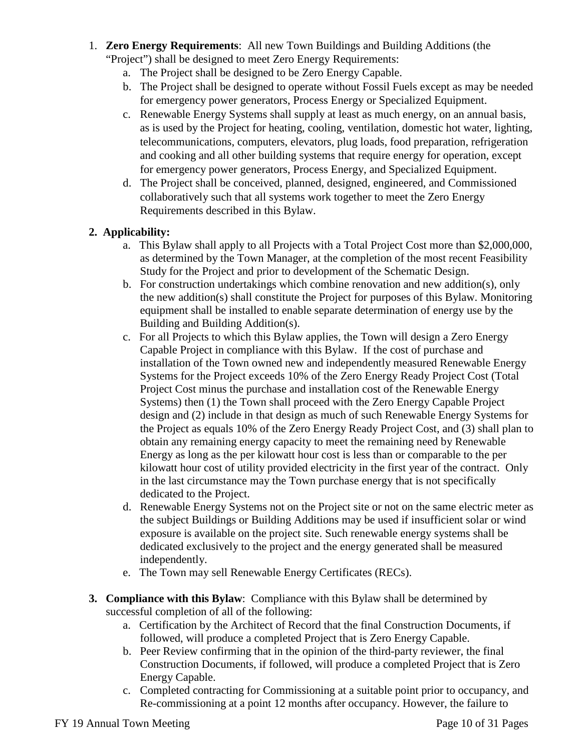- 1. **Zero Energy Requirements**: All new Town Buildings and Building Additions (the
	- "Project") shall be designed to meet Zero Energy Requirements:
		- a. The Project shall be designed to be Zero Energy Capable.
		- b. The Project shall be designed to operate without Fossil Fuels except as may be needed for emergency power generators, Process Energy or Specialized Equipment.
		- c. Renewable Energy Systems shall supply at least as much energy, on an annual basis, as is used by the Project for heating, cooling, ventilation, domestic hot water, lighting, telecommunications, computers, elevators, plug loads, food preparation, refrigeration and cooking and all other building systems that require energy for operation, except for emergency power generators, Process Energy, and Specialized Equipment.
		- d. The Project shall be conceived, planned, designed, engineered, and Commissioned collaboratively such that all systems work together to meet the Zero Energy Requirements described in this Bylaw.

# **2. Applicability:**

- a. This Bylaw shall apply to all Projects with a Total Project Cost more than \$2,000,000, as determined by the Town Manager, at the completion of the most recent Feasibility Study for the Project and prior to development of the Schematic Design.
- b. For construction undertakings which combine renovation and new addition(s), only the new addition(s) shall constitute the Project for purposes of this Bylaw. Monitoring equipment shall be installed to enable separate determination of energy use by the Building and Building Addition(s).
- c. For all Projects to which this Bylaw applies, the Town will design a Zero Energy Capable Project in compliance with this Bylaw. If the cost of purchase and installation of the Town owned new and independently measured Renewable Energy Systems for the Project exceeds 10% of the Zero Energy Ready Project Cost (Total Project Cost minus the purchase and installation cost of the Renewable Energy Systems) then (1) the Town shall proceed with the Zero Energy Capable Project design and (2) include in that design as much of such Renewable Energy Systems for the Project as equals 10% of the Zero Energy Ready Project Cost, and (3) shall plan to obtain any remaining energy capacity to meet the remaining need by Renewable Energy as long as the per kilowatt hour cost is less than or comparable to the per kilowatt hour cost of utility provided electricity in the first year of the contract. Only in the last circumstance may the Town purchase energy that is not specifically dedicated to the Project.
- d. Renewable Energy Systems not on the Project site or not on the same electric meter as the subject Buildings or Building Additions may be used if insufficient solar or wind exposure is available on the project site. Such renewable energy systems shall be dedicated exclusively to the project and the energy generated shall be measured independently.
- e. The Town may sell Renewable Energy Certificates (RECs).
- **3. Compliance with this Bylaw**: Compliance with this Bylaw shall be determined by successful completion of all of the following:
	- a. Certification by the Architect of Record that the final Construction Documents, if followed, will produce a completed Project that is Zero Energy Capable.
	- b. Peer Review confirming that in the opinion of the third-party reviewer, the final Construction Documents, if followed, will produce a completed Project that is Zero Energy Capable.
	- c. Completed contracting for Commissioning at a suitable point prior to occupancy, and Re-commissioning at a point 12 months after occupancy. However, the failure to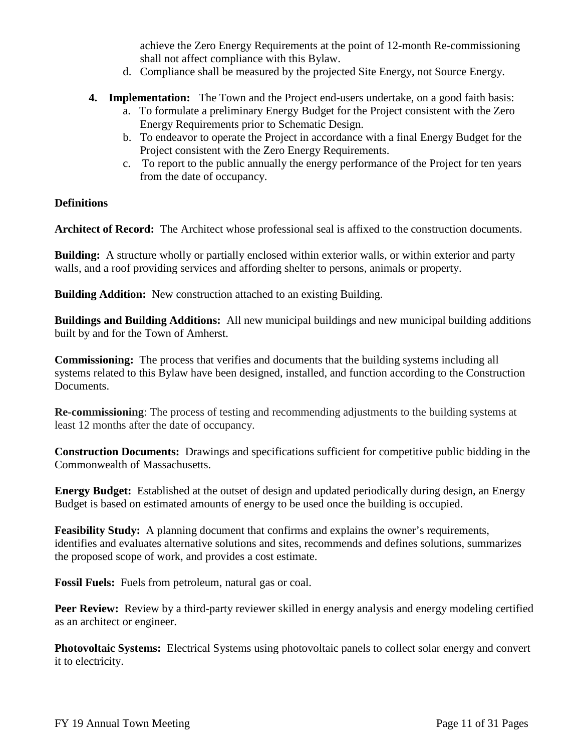achieve the Zero Energy Requirements at the point of 12-month Re-commissioning shall not affect compliance with this Bylaw.

- d. Compliance shall be measured by the projected Site Energy, not Source Energy.
- **4. Implementation:** The Town and the Project end-users undertake, on a good faith basis:
	- a. To formulate a preliminary Energy Budget for the Project consistent with the Zero Energy Requirements prior to Schematic Design.
	- b. To endeavor to operate the Project in accordance with a final Energy Budget for the Project consistent with the Zero Energy Requirements.
	- c. To report to the public annually the energy performance of the Project for ten years from the date of occupancy.

## **Definitions**

**Architect of Record:** The Architect whose professional seal is affixed to the construction documents.

**Building:** A structure wholly or partially enclosed within exterior walls, or within exterior and party walls, and a roof providing services and affording shelter to persons, animals or property.

**Building Addition:** New construction attached to an existing Building.

**Buildings and Building Additions:** All new municipal buildings and new municipal building additions built by and for the Town of Amherst.

**Commissioning:** The process that verifies and documents that the building systems including all systems related to this Bylaw have been designed, installed, and function according to the Construction Documents.

**Re-commissioning**: The process of testing and recommending adjustments to the building systems at least 12 months after the date of occupancy.

**Construction Documents:** Drawings and specifications sufficient for competitive public bidding in the Commonwealth of Massachusetts.

**Energy Budget:** Established at the outset of design and updated periodically during design, an Energy Budget is based on estimated amounts of energy to be used once the building is occupied.

**Feasibility Study:** A planning document that confirms and explains the owner's requirements, identifies and evaluates alternative solutions and sites, recommends and defines solutions, summarizes the proposed scope of work, and provides a cost estimate.

**Fossil Fuels:** Fuels from petroleum, natural gas or coal.

**Peer Review:** Review by a third-party reviewer skilled in energy analysis and energy modeling certified as an architect or engineer.

**Photovoltaic Systems:** Electrical Systems using photovoltaic panels to collect solar energy and convert it to electricity.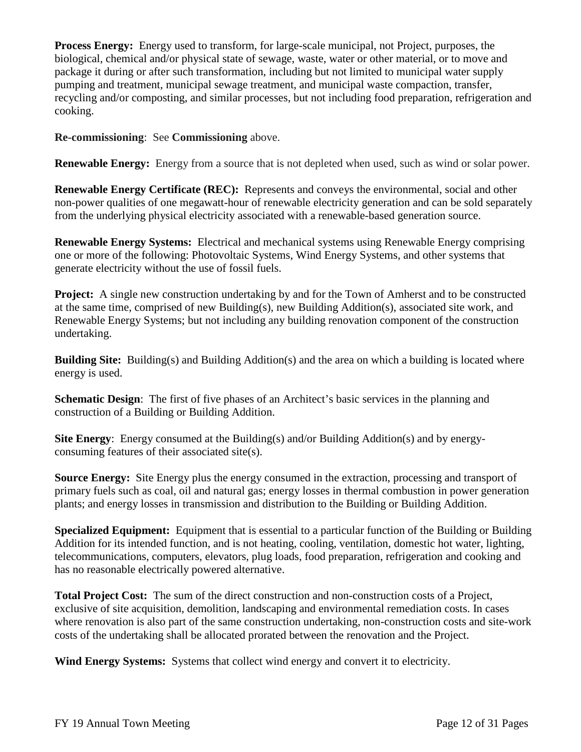**Process Energy:** Energy used to transform, for large-scale municipal, not Project, purposes, the biological, chemical and/or physical state of sewage, waste, water or other material, or to move and package it during or after such transformation, including but not limited to municipal water supply pumping and treatment, municipal sewage treatment, and municipal waste compaction, transfer, recycling and/or composting, and similar processes, but not including food preparation, refrigeration and cooking.

**Re-commissioning**: See **Commissioning** above.

**Renewable Energy:** Energy from a source that is not depleted when used, such as wind or solar power.

**Renewable Energy Certificate (REC):** Represents and conveys the environmental, social and other non-power qualities of one megawatt-hour of renewable electricity generation and can be sold separately from the underlying physical electricity associated with a renewable-based generation source.

**Renewable Energy Systems:** Electrical and mechanical systems using Renewable Energy comprising one or more of the following: Photovoltaic Systems, Wind Energy Systems, and other systems that generate electricity without the use of fossil fuels.

**Project:** A single new construction undertaking by and for the Town of Amherst and to be constructed at the same time, comprised of new Building(s), new Building Addition(s), associated site work, and Renewable Energy Systems; but not including any building renovation component of the construction undertaking.

**Building Site:** Building(s) and Building Addition(s) and the area on which a building is located where energy is used.

**Schematic Design:** The first of five phases of an Architect's basic services in the planning and construction of a Building or Building Addition.

**Site Energy**: Energy consumed at the Building(s) and/or Building Addition(s) and by energyconsuming features of their associated site(s).

**Source Energy:** Site Energy plus the energy consumed in the extraction, processing and transport of primary fuels such as coal, oil and natural gas; energy losses in thermal combustion in power generation plants; and energy losses in transmission and distribution to the Building or Building Addition.

**Specialized Equipment:** Equipment that is essential to a particular function of the Building or Building Addition for its intended function, and is not heating, cooling, ventilation, domestic hot water, lighting, telecommunications, computers, elevators, plug loads, food preparation, refrigeration and cooking and has no reasonable electrically powered alternative.

**Total Project Cost:** The sum of the direct construction and non-construction costs of a Project, exclusive of site acquisition, demolition, landscaping and environmental remediation costs. In cases where renovation is also part of the same construction undertaking, non-construction costs and site-work costs of the undertaking shall be allocated prorated between the renovation and the Project.

**Wind Energy Systems:** Systems that collect wind energy and convert it to electricity.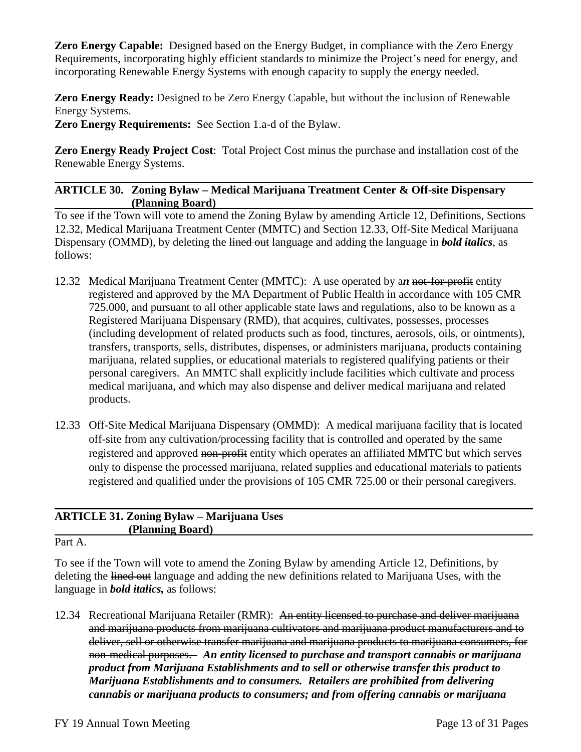**Zero Energy Capable:** Designed based on the Energy Budget, in compliance with the Zero Energy Requirements, incorporating highly efficient standards to minimize the Project's need for energy, and incorporating Renewable Energy Systems with enough capacity to supply the energy needed.

**Zero Energy Ready:** Designed to be Zero Energy Capable, but without the inclusion of Renewable Energy Systems.

**Zero Energy Requirements:** See Section 1.a-d of the Bylaw.

**Zero Energy Ready Project Cost**: Total Project Cost minus the purchase and installation cost of the Renewable Energy Systems.

## **ARTICLE 30. Zoning Bylaw – Medical Marijuana Treatment Center & Off-site Dispensary (Planning Board)**

To see if the Town will vote to amend the Zoning Bylaw by amending Article 12, Definitions, Sections 12.32, Medical Marijuana Treatment Center (MMTC) and Section 12.33, Off-Site Medical Marijuana Dispensary (OMMD), by deleting the lined out language and adding the language in *bold italics*, as follows:

- 12.32 Medical Marijuana Treatment Center (MMTC): A use operated by a*n* not-for-profit entity registered and approved by the MA Department of Public Health in accordance with 105 CMR 725.000, and pursuant to all other applicable state laws and regulations, also to be known as a Registered Marijuana Dispensary (RMD), that acquires, cultivates, possesses, processes (including development of related products such as food, tinctures, aerosols, oils, or ointments), transfers, transports, sells, distributes, dispenses, or administers marijuana, products containing marijuana, related supplies, or educational materials to registered qualifying patients or their personal caregivers. An MMTC shall explicitly include facilities which cultivate and process medical marijuana, and which may also dispense and deliver medical marijuana and related products.
- 12.33 Off-Site Medical Marijuana Dispensary (OMMD): A medical marijuana facility that is located off-site from any cultivation/processing facility that is controlled and operated by the same registered and approved non-profit entity which operates an affiliated MMTC but which serves only to dispense the processed marijuana, related supplies and educational materials to patients registered and qualified under the provisions of 105 CMR 725.00 or their personal caregivers.

# **ARTICLE 31. Zoning Bylaw – Marijuana Uses (Planning Board)**

Part A.

To see if the Town will vote to amend the Zoning Bylaw by amending Article 12, Definitions, by deleting the lined out language and adding the new definitions related to Marijuana Uses, with the language in *bold italics,* as follows:

12.34 Recreational Marijuana Retailer (RMR): An entity licensed to purchase and deliver marijuana and marijuana products from marijuana cultivators and marijuana product manufacturers and to deliver, sell or otherwise transfer marijuana and marijuana products to marijuana consumers, for non-medical purposes. *An entity licensed to purchase and transport cannabis or marijuana product from Marijuana Establishments and to sell or otherwise transfer this product to Marijuana Establishments and to consumers. Retailers are prohibited from delivering cannabis or marijuana products to consumers; and from offering cannabis or marijuana*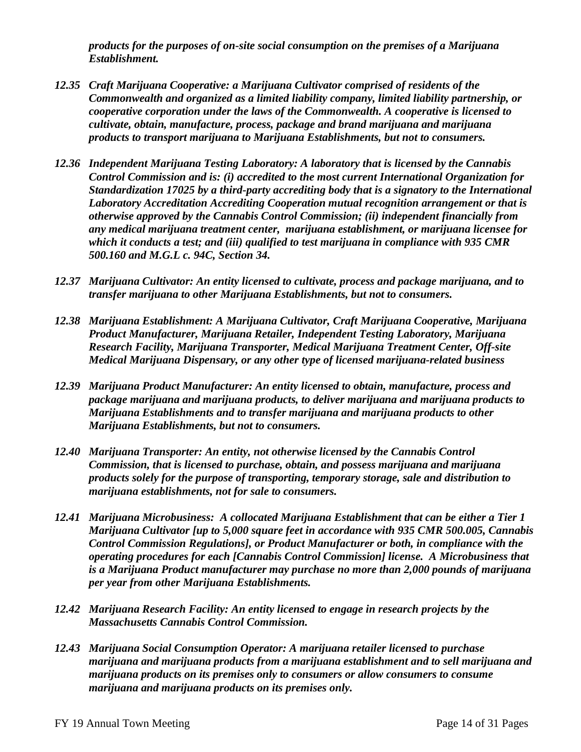*products for the purposes of on-site social consumption on the premises of a Marijuana Establishment.*

- *12.35 Craft Marijuana Cooperative: a Marijuana Cultivator comprised of residents of the Commonwealth and organized as a limited liability company, limited liability partnership, or cooperative corporation under the laws of the Commonwealth. A cooperative is licensed to cultivate, obtain, manufacture, process, package and brand marijuana and marijuana products to transport marijuana to Marijuana Establishments, but not to consumers.*
- *12.36 Independent Marijuana Testing Laboratory: A laboratory that is licensed by the Cannabis Control Commission and is: (i) accredited to the most current International Organization for Standardization 17025 by a third-party accrediting body that is a signatory to the International Laboratory Accreditation Accrediting Cooperation mutual recognition arrangement or that is otherwise approved by the Cannabis Control Commission; (ii) independent financially from any medical marijuana treatment center, marijuana establishment, or marijuana licensee for which it conducts a test; and (iii) qualified to test marijuana in compliance with 935 CMR 500.160 and M.G.L c. 94C, Section 34.*
- *12.37 Marijuana Cultivator: An entity licensed to cultivate, process and package marijuana, and to transfer marijuana to other Marijuana Establishments, but not to consumers.*
- *12.38 Marijuana Establishment: A Marijuana Cultivator, Craft Marijuana Cooperative, Marijuana Product Manufacturer, Marijuana Retailer, Independent Testing Laboratory, Marijuana Research Facility, Marijuana Transporter, Medical Marijuana Treatment Center, Off-site Medical Marijuana Dispensary, or any other type of licensed marijuana-related business*
- *12.39 Marijuana Product Manufacturer: An entity licensed to obtain, manufacture, process and package marijuana and marijuana products, to deliver marijuana and marijuana products to Marijuana Establishments and to transfer marijuana and marijuana products to other Marijuana Establishments, but not to consumers.*
- *12.40 Marijuana Transporter: An entity, not otherwise licensed by the Cannabis Control Commission, that is licensed to purchase, obtain, and possess marijuana and marijuana products solely for the purpose of transporting, temporary storage, sale and distribution to marijuana establishments, not for sale to consumers.*
- *12.41 Marijuana Microbusiness: A collocated Marijuana Establishment that can be either a Tier 1 Marijuana Cultivator [up to 5,000 square feet in accordance with 935 CMR 500.005, Cannabis Control Commission Regulations], or Product Manufacturer or both, in compliance with the operating procedures for each [Cannabis Control Commission] license. A Microbusiness that is a Marijuana Product manufacturer may purchase no more than 2,000 pounds of marijuana per year from other Marijuana Establishments.*
- *12.42 Marijuana Research Facility: An entity licensed to engage in research projects by the Massachusetts Cannabis Control Commission.*
- *12.43 Marijuana Social Consumption Operator: A marijuana retailer licensed to purchase marijuana and marijuana products from a marijuana establishment and to sell marijuana and marijuana products on its premises only to consumers or allow consumers to consume marijuana and marijuana products on its premises only.*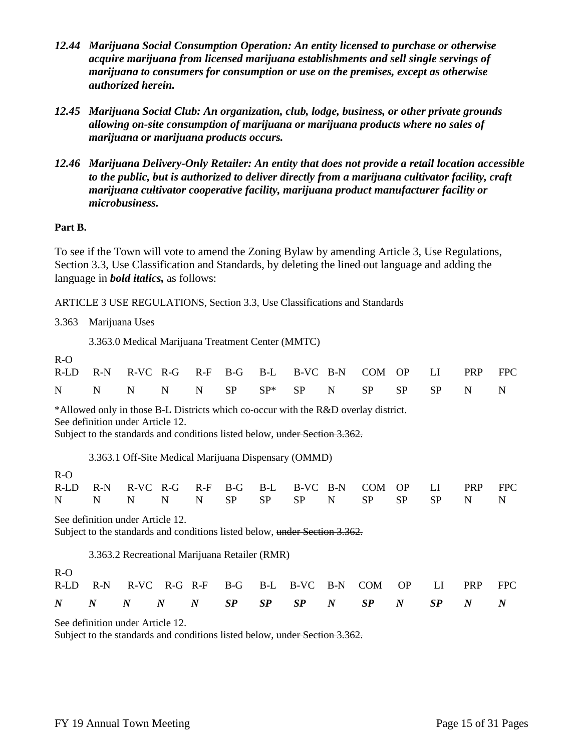- *12.44 Marijuana Social Consumption Operation: An entity licensed to purchase or otherwise acquire marijuana from licensed marijuana establishments and sell single servings of marijuana to consumers for consumption or use on the premises, except as otherwise authorized herein.*
- *12.45 Marijuana Social Club: An organization, club, lodge, business, or other private grounds allowing on-site consumption of marijuana or marijuana products where no sales of marijuana or marijuana products occurs.*
- *12.46 Marijuana Delivery-Only Retailer: An entity that does not provide a retail location accessible to the public, but is authorized to deliver directly from a marijuana cultivator facility, craft marijuana cultivator cooperative facility, marijuana product manufacturer facility or microbusiness.*

#### **Part B.**

To see if the Town will vote to amend the Zoning Bylaw by amending Article 3, Use Regulations, Section 3.3, Use Classification and Standards, by deleting the lined out language and adding the language in *bold italics,* as follows:

ARTICLE 3 USE REGULATIONS, Section 3.3, Use Classifications and Standards

3.363 Marijuana Uses

3.363.0 Medical Marijuana Treatment Center (MMTC)

R-O

| R-LD R-N R-VC R-G R-F B-G B-L B-VC B-N COM OP LI PRP FPC |  |  |  |  |  |  |  |
|----------------------------------------------------------|--|--|--|--|--|--|--|
| N N N N N N SP SP* SP N SP SP SP N N                     |  |  |  |  |  |  |  |

\*Allowed only in those B-L Districts which co-occur with the R&D overlay district.

See definition under Article 12.

Subject to the standards and conditions listed below, under Section 3.362.

3.363.1 Off-Site Medical Marijuana Dispensary (OMMD)

#### R-O R-LD R-N R-VC R-G R-F B-G B-L B-VC B-N COM OP LI PRP FPC N N N N N SP SP SP N SP SP SP N N

See definition under Article 12.

Subject to the standards and conditions listed below, under Section 3.362.

3.363.2 Recreational Marijuana Retailer (RMR)

 $R - Q$ 

|   |  |  |  | $N$ $N$ $N$ $N$ $S\!P$ $S\!P$ $S\!P$ $N$ $S\!P$ $N$ $S\!P$ $N$ $N$ |  |  |  |
|---|--|--|--|--------------------------------------------------------------------|--|--|--|
| . |  |  |  | R-LD R-N R-VC R-G R-F B-G B-L B-VC B-N COM OP LI PRP FPC           |  |  |  |

See definition under Article 12.

Subject to the standards and conditions listed below, under Section 3.362.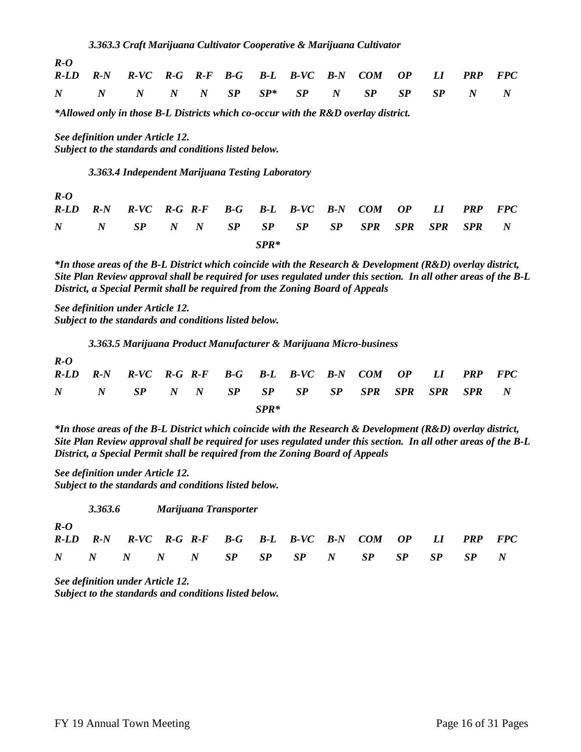| $R-O$ |                                                          |  |  |  |  |  |  |
|-------|----------------------------------------------------------|--|--|--|--|--|--|
|       | R-LD R-N R-VC R-G R-F B-G B-L B-VC B-N COM OP LI PRP FPC |  |  |  |  |  |  |
|       | N N N N N N SP SP* SP N SP SP SP N N N                   |  |  |  |  |  |  |

*\*Allowed only in those B-L Districts which co-occur with the R&D overlay district.*

*See definition under Article 12. Subject to the standards and conditions listed below.*

*3.363.4 Independent Marijuana Testing Laboratory*

*R-O R-LD R-N R-VC R-G R-F B-G B-L B-VC B-N COM OP LI PRP FPC N N SP N N SP SP SP SP SPR SPR SPR SPR N SPR\**

*\*In those areas of the B-L District which coincide with the Research & Development (R&D) overlay district, Site Plan Review approval shall be required for uses regulated under this section. In all other areas of the B-L District, a Special Permit shall be required from the Zoning Board of Appeals*

*See definition under Article 12. Subject to the standards and conditions listed below.*

*3.363.5 Marijuana Product Manufacturer & Marijuana Micro-business*

|  | R-LD R-N R-VC R-G R-F B-G B-L B-VC B-N COM OP LI PRP FPC |  |        |  |  |  |  |
|--|----------------------------------------------------------|--|--------|--|--|--|--|
|  | N N SP N N SP SP SP SP SP SPR SPR SPR SPR N              |  |        |  |  |  |  |
|  |                                                          |  | $SPR*$ |  |  |  |  |

*\*In those areas of the B-L District which coincide with the Research & Development (R&D) overlay district, Site Plan Review approval shall be required for uses regulated under this section. In all other areas of the B-L District, a Special Permit shall be required from the Zoning Board of Appeals*

*See definition under Article 12. Subject to the standards and conditions listed below.*

*3.363.6 Marijuana Transporter R-O R-LD R-N R-VC R-G R-F B-G B-L B-VC B-N COM OP LI PRP FPC N N N N N SP SP SP N SP SP SP SP N*

*See definition under Article 12. Subject to the standards and conditions listed below.*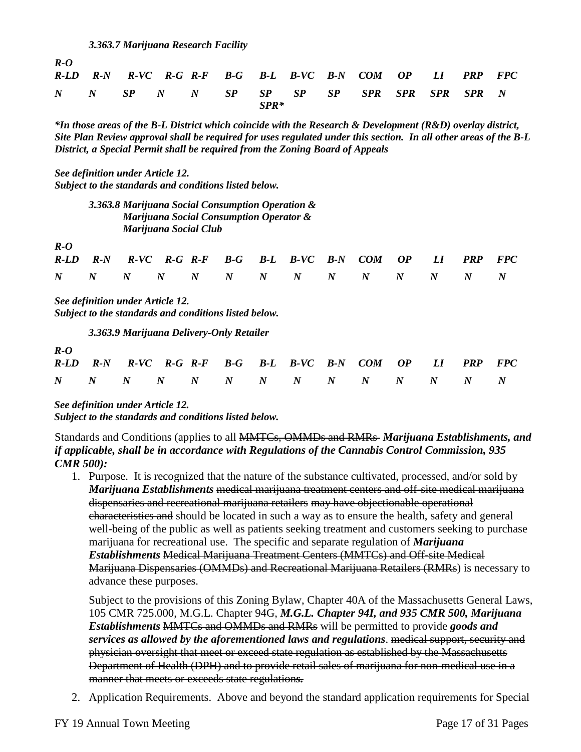*3.363.7 Marijuana Research Facility*

| $R-O$ |  |  |      |                                                          |                   |  |  |
|-------|--|--|------|----------------------------------------------------------|-------------------|--|--|
|       |  |  |      | R-LD R-N R-VC R-G R-F B-G B-L B-VC B-N COM OP LI PRP FPC |                   |  |  |
|       |  |  |      | N N SP N N SP SP SP SP SP                                | SPR SPR SPR SPR N |  |  |
|       |  |  | SPR* |                                                          |                   |  |  |

*\*In those areas of the B-L District which coincide with the Research & Development (R&D) overlay district, Site Plan Review approval shall be required for uses regulated under this section. In all other areas of the B-L District, a Special Permit shall be required from the Zoning Board of Appeals*

*See definition under Article 12. Subject to the standards and conditions listed below.*

| 3.363.8 Marijuana Social Consumption Operation &   |
|----------------------------------------------------|
| <b>Marijuana Social Consumption Operator &amp;</b> |
| Marijuana Social Club                              |

*R-O*

|  |  |  | R-LD R-N R-VC R-G R-F B-G B-L B-VC B-N COM OP LI PRP FPC |  |  |  |
|--|--|--|----------------------------------------------------------|--|--|--|
|  |  |  |                                                          |  |  |  |

*See definition under Article 12. Subject to the standards and conditions listed below.*

*3.363.9 Marijuana Delivery-Only Retailer*

| $R-O$ |  |  |  |                                                          |  |  |  |
|-------|--|--|--|----------------------------------------------------------|--|--|--|
|       |  |  |  | R-LD R-N R-VC R-G R-F B-G B-L B-VC B-N COM OP LI PRP FPC |  |  |  |
|       |  |  |  |                                                          |  |  |  |

*See definition under Article 12. Subject to the standards and conditions listed below.*

Standards and Conditions (applies to all MMTCs, OMMDs and RMRs *Marijuana Establishments, and if applicable, shall be in accordance with Regulations of the Cannabis Control Commission, 935 CMR 500):*

1. Purpose. It is recognized that the nature of the substance cultivated, processed, and/or sold by *Marijuana Establishments* medical marijuana treatment centers and off-site medical marijuana dispensaries and recreational marijuana retailers may have objectionable operational characteristics and should be located in such a way as to ensure the health, safety and general well-being of the public as well as patients seeking treatment and customers seeking to purchase marijuana for recreational use. The specific and separate regulation of *Marijuana Establishments* Medical Marijuana Treatment Centers (MMTCs) and Off-site Medical Marijuana Dispensaries (OMMDs) and Recreational Marijuana Retailers (RMRs) is necessary to advance these purposes.

Subject to the provisions of this Zoning Bylaw, Chapter 40A of the Massachusetts General Laws, 105 CMR 725.000, M.G.L. Chapter 94G, *M.G.L. Chapter 94I, and 935 CMR 500, Marijuana Establishments* MMTCs and OMMDs and RMRs will be permitted to provide *goods and services as allowed by the aforementioned laws and regulations*. medical support, security and physician oversight that meet or exceed state regulation as established by the Massachusetts Department of Health (DPH) and to provide retail sales of marijuana for non-medical use in a manner that meets or exceeds state regulation*s.*

2. Application Requirements. Above and beyond the standard application requirements for Special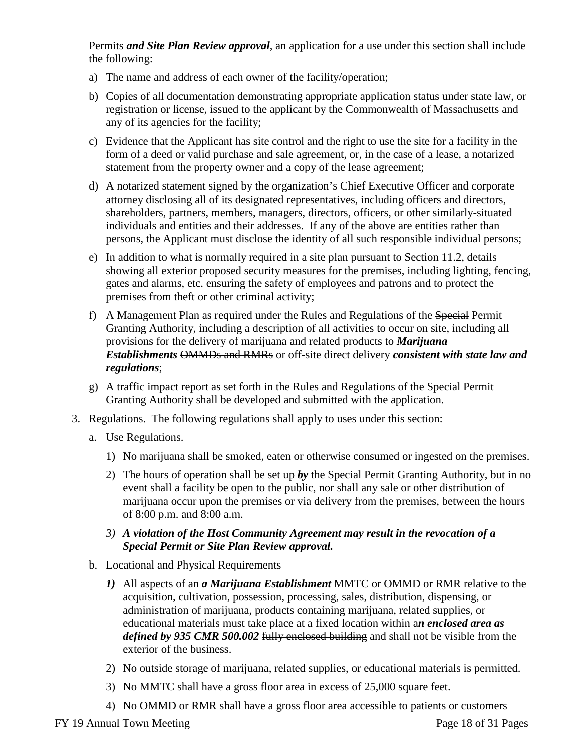Permits *and Site Plan Review approval*, an application for a use under this section shall include the following:

- a) The name and address of each owner of the facility/operation;
- b) Copies of all documentation demonstrating appropriate application status under state law, or registration or license, issued to the applicant by the Commonwealth of Massachusetts and any of its agencies for the facility;
- c) Evidence that the Applicant has site control and the right to use the site for a facility in the form of a deed or valid purchase and sale agreement, or, in the case of a lease, a notarized statement from the property owner and a copy of the lease agreement;
- d) A notarized statement signed by the organization's Chief Executive Officer and corporate attorney disclosing all of its designated representatives, including officers and directors, shareholders, partners, members, managers, directors, officers, or other similarly-situated individuals and entities and their addresses. If any of the above are entities rather than persons, the Applicant must disclose the identity of all such responsible individual persons;
- e) In addition to what is normally required in a site plan pursuant to Section 11.2, details showing all exterior proposed security measures for the premises, including lighting, fencing, gates and alarms, etc. ensuring the safety of employees and patrons and to protect the premises from theft or other criminal activity;
- f) A Management Plan as required under the Rules and Regulations of the Special Permit Granting Authority, including a description of all activities to occur on site, including all provisions for the delivery of marijuana and related products to *Marijuana Establishments* OMMDs and RMRs or off-site direct delivery *consistent with state law and regulations*;
- g) A traffic impact report as set forth in the Rules and Regulations of the Special Permit Granting Authority shall be developed and submitted with the application.
- 3. Regulations. The following regulations shall apply to uses under this section:
	- a. Use Regulations.
		- 1) No marijuana shall be smoked, eaten or otherwise consumed or ingested on the premises.
		- 2) The hours of operation shall be set up by the Special Permit Granting Authority, but in no event shall a facility be open to the public, nor shall any sale or other distribution of marijuana occur upon the premises or via delivery from the premises, between the hours of 8:00 p.m. and 8:00 a.m.
		- *3) A violation of the Host Community Agreement may result in the revocation of a Special Permit or Site Plan Review approval.*
	- b. Locational and Physical Requirements
		- *1)* All aspects of an *a Marijuana Establishment* MMTC or OMMD or RMR relative to the acquisition, cultivation, possession, processing, sales, distribution, dispensing, or administration of marijuana, products containing marijuana, related supplies, or educational materials must take place at a fixed location within a*n enclosed area as*  defined by 935 CMR 500.002 fully enclosed building and shall not be visible from the exterior of the business.
		- 2) No outside storage of marijuana, related supplies, or educational materials is permitted.
		- 3) No MMTC shall have a gross floor area in excess of 25,000 square feet.
		- 4) No OMMD or RMR shall have a gross floor area accessible to patients or customers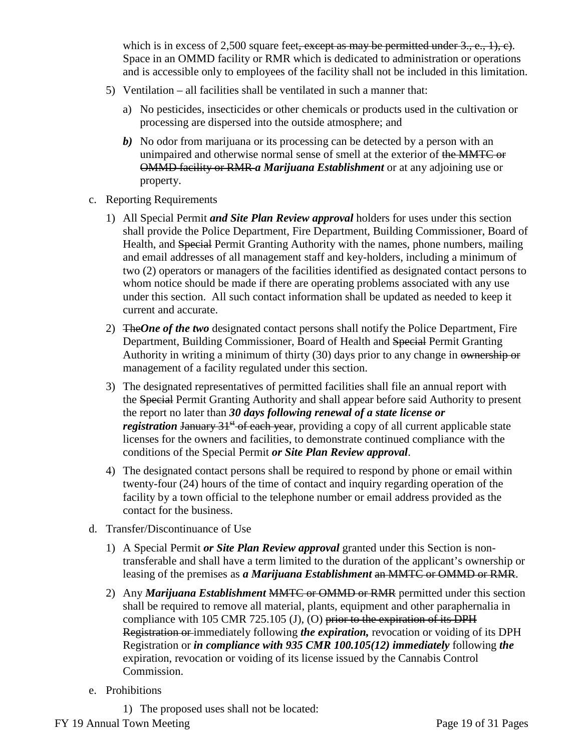which is in excess of 2,500 square feet, except as may be permitted under  $3, e, 1$ , c). Space in an OMMD facility or RMR which is dedicated to administration or operations and is accessible only to employees of the facility shall not be included in this limitation.

- 5) Ventilation all facilities shall be ventilated in such a manner that:
	- a) No pesticides, insecticides or other chemicals or products used in the cultivation or processing are dispersed into the outside atmosphere; and
	- *b)* No odor from marijuana or its processing can be detected by a person with an unimpaired and otherwise normal sense of smell at the exterior of the MMTC or OMMD facility or RMR *a Marijuana Establishment* or at any adjoining use or property.
- c. Reporting Requirements
	- 1) All Special Permit *and Site Plan Review approval* holders for uses under this section shall provide the Police Department, Fire Department, Building Commissioner, Board of Health, and Special Permit Granting Authority with the names, phone numbers, mailing and email addresses of all management staff and key-holders, including a minimum of two (2) operators or managers of the facilities identified as designated contact persons to whom notice should be made if there are operating problems associated with any use under this section. All such contact information shall be updated as needed to keep it current and accurate.
	- 2) The*One of the two* designated contact persons shall notify the Police Department, Fire Department, Building Commissioner, Board of Health and Special Permit Granting Authority in writing a minimum of thirty (30) days prior to any change in ownership or management of a facility regulated under this section.
	- 3) The designated representatives of permitted facilities shall file an annual report with the Special Permit Granting Authority and shall appear before said Authority to present the report no later than *30 days following renewal of a state license or registration* January 31<sup>st</sup> of each year, providing a copy of all current applicable state licenses for the owners and facilities, to demonstrate continued compliance with the conditions of the Special Permit *or Site Plan Review approval*.
	- 4) The designated contact persons shall be required to respond by phone or email within twenty-four (24) hours of the time of contact and inquiry regarding operation of the facility by a town official to the telephone number or email address provided as the contact for the business.
- d. Transfer/Discontinuance of Use
	- 1) A Special Permit *or Site Plan Review approval* granted under this Section is nontransferable and shall have a term limited to the duration of the applicant's ownership or leasing of the premises as *a Marijuana Establishment* an MMTC or OMMD or RMR.
	- 2) Any *Marijuana Establishment* MMTC or OMMD or RMR permitted under this section shall be required to remove all material, plants, equipment and other paraphernalia in compliance with 105 CMR 725.105 (J), (O) prior to the expiration of its DPH Registration or immediately following *the expiration,* revocation or voiding of its DPH Registration or *in compliance with 935 CMR 100.105(12) immediately* following *the*  expiration, revocation or voiding of its license issued by the Cannabis Control Commission.
- e. Prohibitions

FY 19 Annual Town Meeting Page 19 of 31 Pages 1) The proposed uses shall not be located: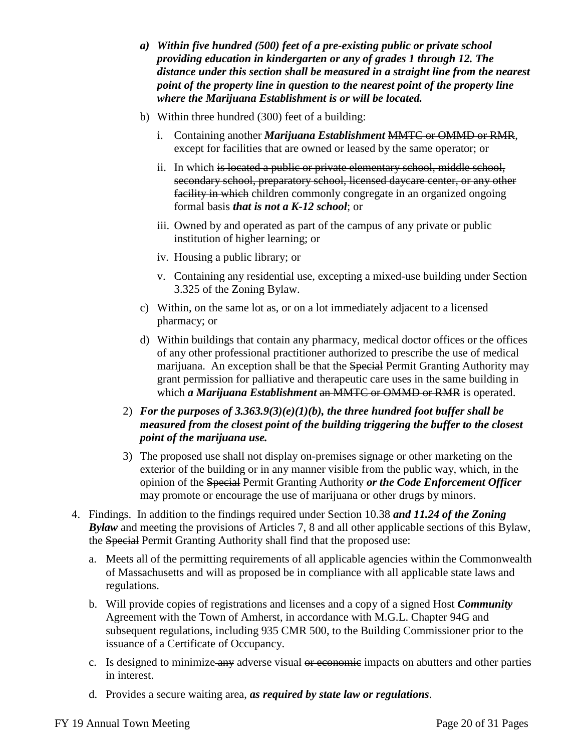- *a) Within five hundred (500) feet of a pre-existing public or private school providing education in kindergarten or any of grades 1 through 12. The distance under this section shall be measured in a straight line from the nearest point of the property line in question to the nearest point of the property line where the Marijuana Establishment is or will be located.*
- b) Within three hundred (300) feet of a building:
	- i. Containing another *Marijuana Establishment* MMTC or OMMD or RMR, except for facilities that are owned or leased by the same operator; or
	- ii. In which is located a public or private elementary school, middle school, secondary school, preparatory school, licensed daycare center, or any other facility in which children commonly congregate in an organized ongoing formal basis *that is not a K-12 school*; or
	- iii. Owned by and operated as part of the campus of any private or public institution of higher learning; or
	- iv. Housing a public library; or
	- v. Containing any residential use, excepting a mixed-use building under Section 3.325 of the Zoning Bylaw.
- c) Within, on the same lot as, or on a lot immediately adjacent to a licensed pharmacy; or
- d) Within buildings that contain any pharmacy, medical doctor offices or the offices of any other professional practitioner authorized to prescribe the use of medical marijuana. An exception shall be that the Special Permit Granting Authority may grant permission for palliative and therapeutic care uses in the same building in which *a Marijuana Establishment* an MMTC or OMMD or RMR is operated.
- 2) *For the purposes of 3.363.9(3)(e)(1)(b), the three hundred foot buffer shall be measured from the closest point of the building triggering the buffer to the closest point of the marijuana use.*
- 3) The proposed use shall not display on-premises signage or other marketing on the exterior of the building or in any manner visible from the public way, which, in the opinion of the Special Permit Granting Authority *or the Code Enforcement Officer* may promote or encourage the use of marijuana or other drugs by minors.
- 4. Findings. In addition to the findings required under Section 10.38 *and 11.24 of the Zoning Bylaw* and meeting the provisions of Articles 7, 8 and all other applicable sections of this Bylaw, the Special Permit Granting Authority shall find that the proposed use:
	- a. Meets all of the permitting requirements of all applicable agencies within the Commonwealth of Massachusetts and will as proposed be in compliance with all applicable state laws and regulations.
	- b. Will provide copies of registrations and licenses and a copy of a signed Host *Community*  Agreement with the Town of Amherst, in accordance with M.G.L. Chapter 94G and subsequent regulations, including 935 CMR 500, to the Building Commissioner prior to the issuance of a Certificate of Occupancy.
	- c. Is designed to minimize any adverse visual or economic impacts on abutters and other parties in interest.
	- d. Provides a secure waiting area, *as required by state law or regulations*.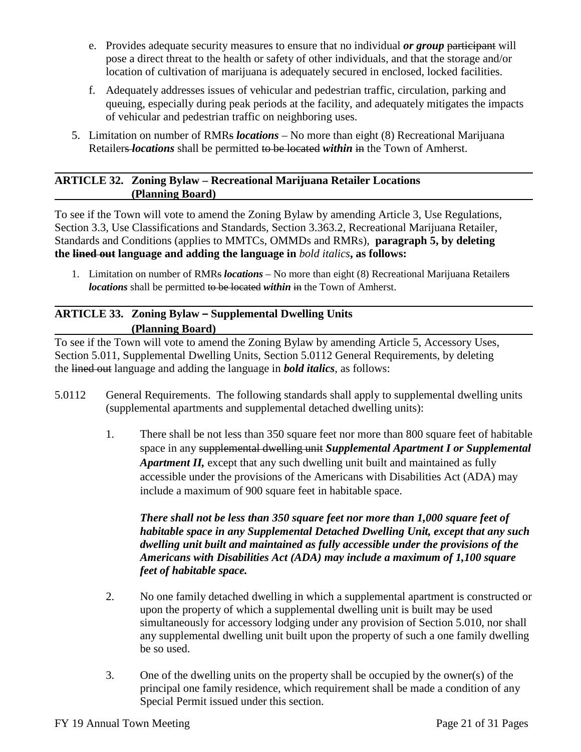- e. Provides adequate security measures to ensure that no individual *or group* participant will pose a direct threat to the health or safety of other individuals, and that the storage and/or location of cultivation of marijuana is adequately secured in enclosed, locked facilities.
- f. Adequately addresses issues of vehicular and pedestrian traffic, circulation, parking and queuing, especially during peak periods at the facility, and adequately mitigates the impacts of vehicular and pedestrian traffic on neighboring uses.
- 5. Limitation on number of RMRs *locations*  No more than eight (8) Recreational Marijuana Retailers *locations* shall be permitted to be located *within* in the Town of Amherst.

## **ARTICLE 32. Zoning Bylaw – Recreational Marijuana Retailer Locations (Planning Board)**

To see if the Town will vote to amend the Zoning Bylaw by amending Article 3, Use Regulations, Section 3.3, Use Classifications and Standards, Section 3.363.2, Recreational Marijuana Retailer, Standards and Conditions (applies to MMTCs, OMMDs and RMRs), **paragraph 5, by deleting the lined out language and adding the language in** *bold italics***, as follows:**

1. Limitation on number of RMRs *locations* – No more than eight (8) Recreational Marijuana Retailers *locations* shall be permitted to be located *within* in the Town of Amherst.

# **ARTICLE 33. Zoning Bylaw – Supplemental Dwelling Units (Planning Board)**

To see if the Town will vote to amend the Zoning Bylaw by amending Article 5, Accessory Uses, Section 5.011, Supplemental Dwelling Units, Section 5.0112 General Requirements, by deleting the lined out language and adding the language in *bold italics*, as follows:

- 5.0112 General Requirements. The following standards shall apply to supplemental dwelling units (supplemental apartments and supplemental detached dwelling units):
	- 1. There shall be not less than 350 square feet nor more than 800 square feet of habitable space in any supplemental dwelling unit *Supplemental Apartment I or Supplemental Apartment II,* except that any such dwelling unit built and maintained as fully accessible under the provisions of the Americans with Disabilities Act (ADA) may include a maximum of 900 square feet in habitable space.

*There shall not be less than 350 square feet nor more than 1,000 square feet of habitable space in any Supplemental Detached Dwelling Unit, except that any such dwelling unit built and maintained as fully accessible under the provisions of the Americans with Disabilities Act (ADA) may include a maximum of 1,100 square feet of habitable space.*

- 2. No one family detached dwelling in which a supplemental apartment is constructed or upon the property of which a supplemental dwelling unit is built may be used simultaneously for accessory lodging under any provision of Section 5.010, nor shall any supplemental dwelling unit built upon the property of such a one family dwelling be so used.
- 3. One of the dwelling units on the property shall be occupied by the owner(s) of the principal one family residence, which requirement shall be made a condition of any Special Permit issued under this section.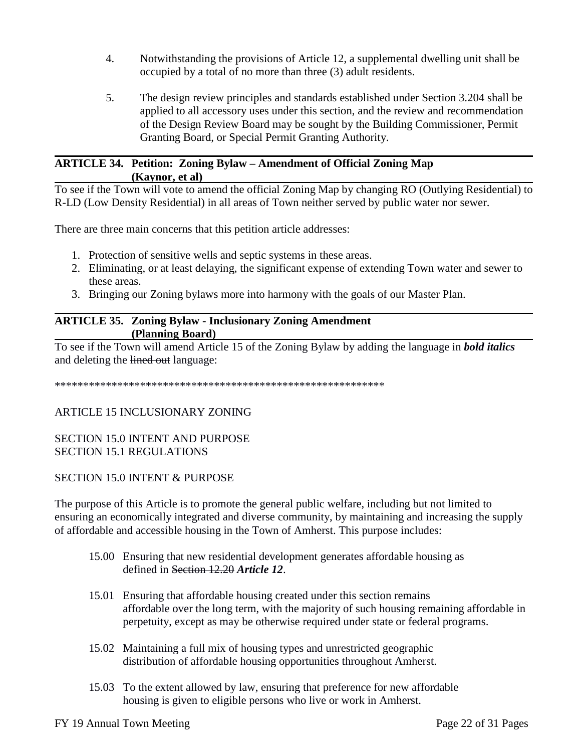- 4. Notwithstanding the provisions of Article 12, a supplemental dwelling unit shall be occupied by a total of no more than three (3) adult residents.
- 5. The design review principles and standards established under Section 3.204 shall be applied to all accessory uses under this section, and the review and recommendation of the Design Review Board may be sought by the Building Commissioner, Permit Granting Board, or Special Permit Granting Authority.

#### **ARTICLE 34. Petition: Zoning Bylaw – Amendment of Official Zoning Map (Kaynor, et al)**

To see if the Town will vote to amend the official Zoning Map by changing RO (Outlying Residential) to R-LD (Low Density Residential) in all areas of Town neither served by public water nor sewer.

There are three main concerns that this petition article addresses:

- 1. Protection of sensitive wells and septic systems in these areas.
- 2. Eliminating, or at least delaying, the significant expense of extending Town water and sewer to these areas.
- 3. Bringing our Zoning bylaws more into harmony with the goals of our Master Plan.

## **ARTICLE 35. Zoning Bylaw - Inclusionary Zoning Amendment (Planning Board)**

To see if the Town will amend Article 15 of the Zoning Bylaw by adding the language in *bold italics*  and deleting the lined out language:

\*\*\*\*\*\*\*\*\*\*\*\*\*\*\*\*\*\*\*\*\*\*\*\*\*\*\*\*\*\*\*\*\*\*\*\*\*\*\*\*\*\*\*\*\*\*\*\*\*\*\*\*\*\*\*\*\*\*

## ARTICLE 15 INCLUSIONARY ZONING

## SECTION 15.0 INTENT AND PURPOSE SECTION 15.1 REGULATIONS

## SECTION 15.0 INTENT & PURPOSE

The purpose of this Article is to promote the general public welfare, including but not limited to ensuring an economically integrated and diverse community, by maintaining and increasing the supply of affordable and accessible housing in the Town of Amherst. This purpose includes:

- 15.00 Ensuring that new residential development generates affordable housing as defined in Section 12.20 *Article 12*.
- 15.01 Ensuring that affordable housing created under this section remains affordable over the long term, with the majority of such housing remaining affordable in perpetuity, except as may be otherwise required under state or federal programs.
- 15.02 Maintaining a full mix of housing types and unrestricted geographic distribution of affordable housing opportunities throughout Amherst.
- 15.03 To the extent allowed by law, ensuring that preference for new affordable housing is given to eligible persons who live or work in Amherst.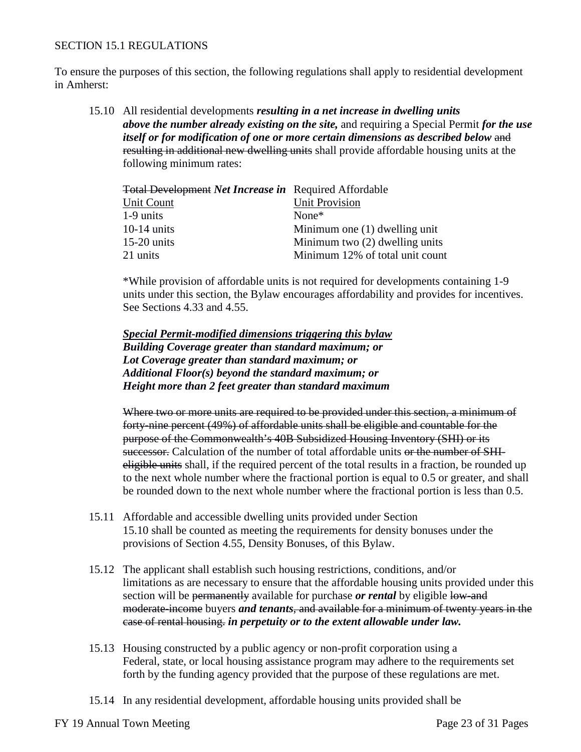## SECTION 15.1 REGULATIONS

To ensure the purposes of this section, the following regulations shall apply to residential development in Amherst:

15.10 All residential developments *resulting in a net increase in dwelling units above the number already existing on the site,* and requiring a Special Permit *for the use itself or for modification of one or more certain dimensions as described below and* resulting in additional new dwelling units shall provide affordable housing units at the following minimum rates:

| <b>Total Development Net Increase in</b> Required Affordable |                                  |
|--------------------------------------------------------------|----------------------------------|
| Unit Count                                                   | <b>Unit Provision</b>            |
| 1-9 units                                                    | None $*$                         |
| $10-14$ units                                                | Minimum one (1) dwelling unit    |
| $15-20$ units                                                | Minimum two $(2)$ dwelling units |
| 21 units                                                     | Minimum 12% of total unit count  |

\*While provision of affordable units is not required for developments containing 1-9 units under this section, the Bylaw encourages affordability and provides for incentives. See Sections 4.33 and 4.55.

*Special Permit-modified dimensions triggering this bylaw Building Coverage greater than standard maximum; or Lot Coverage greater than standard maximum; or Additional Floor(s) beyond the standard maximum; or Height more than 2 feet greater than standard maximum*

Where two or more units are required to be provided under this section, a minimum of forty-nine percent (49%) of affordable units shall be eligible and countable for the purpose of the Commonwealth's 40B Subsidized Housing Inventory (SHI) or its successor. Calculation of the number of total affordable units or the number of SHIeligible units shall, if the required percent of the total results in a fraction, be rounded up to the next whole number where the fractional portion is equal to 0.5 or greater, and shall be rounded down to the next whole number where the fractional portion is less than 0.5.

- 15.11 Affordable and accessible dwelling units provided under Section 15.10 shall be counted as meeting the requirements for density bonuses under the provisions of Section 4.55, Density Bonuses, of this Bylaw.
- 15.12 The applicant shall establish such housing restrictions, conditions, and/or limitations as are necessary to ensure that the affordable housing units provided under this section will be permanently available for purchase *or rental* by eligible low-and moderate-income buyers *and tenants*, and available for a minimum of twenty years in the case of rental housing. *in perpetuity or to the extent allowable under law.*
- 15.13 Housing constructed by a public agency or non-profit corporation using a Federal, state, or local housing assistance program may adhere to the requirements set forth by the funding agency provided that the purpose of these regulations are met.
- 15.14 In any residential development, affordable housing units provided shall be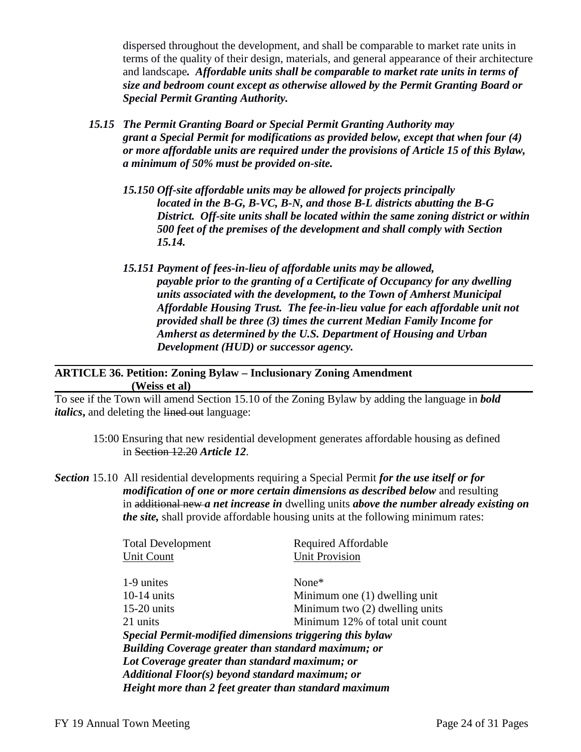dispersed throughout the development, and shall be comparable to market rate units in terms of the quality of their design, materials, and general appearance of their architecture and landscape*. Affordable units shall be comparable to market rate units in terms of size and bedroom count except as otherwise allowed by the Permit Granting Board or Special Permit Granting Authority.* 

- *15.15 The Permit Granting Board or Special Permit Granting Authority may grant a Special Permit for modifications as provided below, except that when four (4) or more affordable units are required under the provisions of Article 15 of this Bylaw, a minimum of 50% must be provided on-site.*
	- *15.150 Off-site affordable units may be allowed for projects principally located in the B-G, B-VC, B-N, and those B-L districts abutting the B-G District. Off-site units shall be located within the same zoning district or within 500 feet of the premises of the development and shall comply with Section 15.14.*
	- *15.151 Payment of fees-in-lieu of affordable units may be allowed, payable prior to the granting of a Certificate of Occupancy for any dwelling units associated with the development, to the Town of Amherst Municipal Affordable Housing Trust. The fee-in-lieu value for each affordable unit not provided shall be three (3) times the current Median Family Income for Amherst as determined by the U.S. Department of Housing and Urban Development (HUD) or successor agency.*

## **ARTICLE 36. Petition: Zoning Bylaw – Inclusionary Zoning Amendment (Weiss et al)**

To see if the Town will amend Section 15.10 of the Zoning Bylaw by adding the language in *bold italics*, and deleting the lined out language:

- 15:00 Ensuring that new residential development generates affordable housing as defined in Section 12.20 *Article 12*.
- *Section* 15.10 All residential developments requiring a Special Permit *for the use itself or for modification of one or more certain dimensions as described below* and resulting in additional new *a net increase in* dwelling units *above the number already existing on the site,* shall provide affordable housing units at the following minimum rates:

| Required Affordable                                      |  |  |  |  |  |  |  |
|----------------------------------------------------------|--|--|--|--|--|--|--|
| <b>Unit Provision</b>                                    |  |  |  |  |  |  |  |
|                                                          |  |  |  |  |  |  |  |
| None $*$                                                 |  |  |  |  |  |  |  |
| Minimum one (1) dwelling unit                            |  |  |  |  |  |  |  |
| Minimum two (2) dwelling units                           |  |  |  |  |  |  |  |
| Minimum 12% of total unit count                          |  |  |  |  |  |  |  |
| Special Permit-modified dimensions triggering this bylaw |  |  |  |  |  |  |  |
| Building Coverage greater than standard maximum; or      |  |  |  |  |  |  |  |
| Lot Coverage greater than standard maximum; or           |  |  |  |  |  |  |  |
| Additional Floor(s) beyond standard maximum; or          |  |  |  |  |  |  |  |
| Height more than 2 feet greater than standard maximum    |  |  |  |  |  |  |  |
|                                                          |  |  |  |  |  |  |  |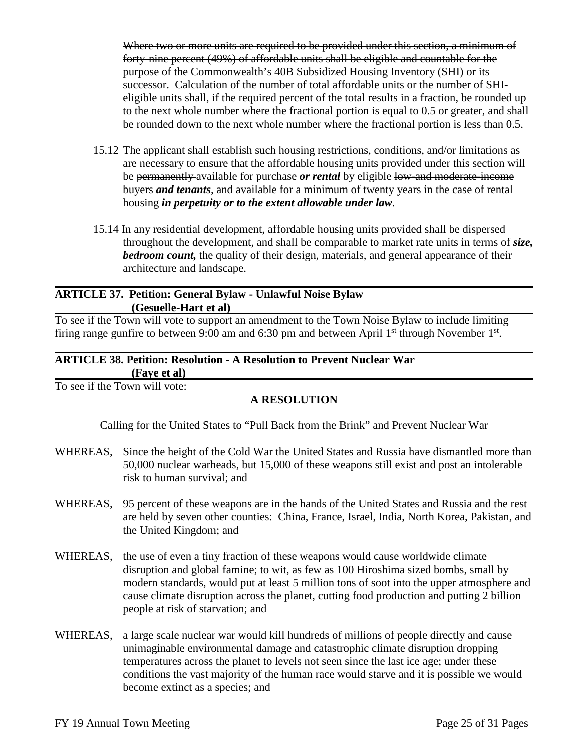Where two or more units are required to be provided under this section, a minimum of forty-nine percent (49%) of affordable units shall be eligible and countable for the purpose of the Commonwealth's 40B Subsidized Housing Inventory (SHI) or its successor. Calculation of the number of total affordable units or the number of SHIeligible units shall, if the required percent of the total results in a fraction, be rounded up to the next whole number where the fractional portion is equal to 0.5 or greater, and shall be rounded down to the next whole number where the fractional portion is less than 0.5.

- 15.12 The applicant shall establish such housing restrictions, conditions, and/or limitations as are necessary to ensure that the affordable housing units provided under this section will be permanently available for purchase *or rental* by eligible low-and moderate-income buyers *and tenants*, and available for a minimum of twenty years in the case of rental housing *in perpetuity or to the extent allowable under law*.
- 15.14 In any residential development, affordable housing units provided shall be dispersed throughout the development, and shall be comparable to market rate units in terms of *size, bedroom count*, the quality of their design, materials, and general appearance of their architecture and landscape.

#### **ARTICLE 37. Petition: General Bylaw - Unlawful Noise Bylaw (Gesuelle-Hart et al)**

To see if the Town will vote to support an amendment to the Town Noise Bylaw to include limiting firing range gunfire to between 9:00 am and 6:30 pm and between April  $1<sup>st</sup>$  through November  $1<sup>st</sup>$ .

#### **ARTICLE 38. Petition: Resolution - A Resolution to Prevent Nuclear War (Faye et al)**

To see if the Town will vote:

## **A RESOLUTION**

Calling for the United States to "Pull Back from the Brink" and Prevent Nuclear War

- WHEREAS, Since the height of the Cold War the United States and Russia have dismantled more than 50,000 nuclear warheads, but 15,000 of these weapons still exist and post an intolerable risk to human survival; and
- WHEREAS, 95 percent of these weapons are in the hands of the United States and Russia and the rest are held by seven other counties: China, France, Israel, India, North Korea, Pakistan, and the United Kingdom; and
- WHEREAS, the use of even a tiny fraction of these weapons would cause worldwide climate disruption and global famine; to wit, as few as 100 Hiroshima sized bombs, small by modern standards, would put at least 5 million tons of soot into the upper atmosphere and cause climate disruption across the planet, cutting food production and putting 2 billion people at risk of starvation; and
- WHEREAS, a large scale nuclear war would kill hundreds of millions of people directly and cause unimaginable environmental damage and catastrophic climate disruption dropping temperatures across the planet to levels not seen since the last ice age; under these conditions the vast majority of the human race would starve and it is possible we would become extinct as a species; and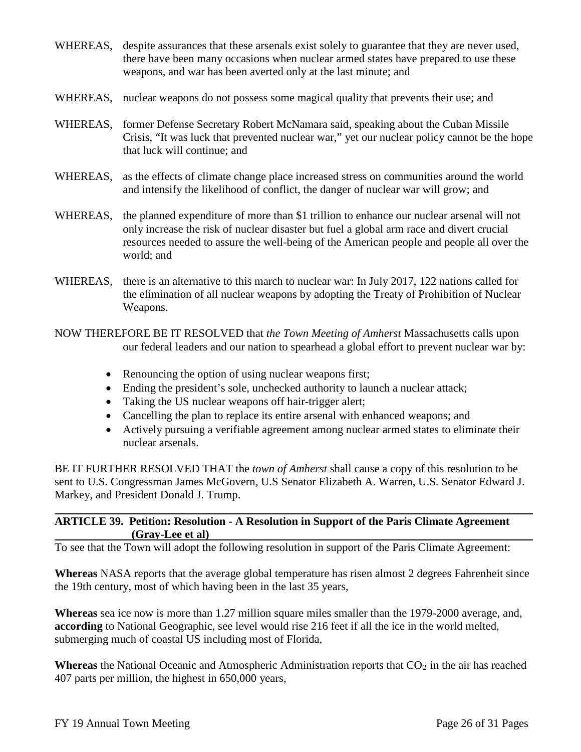- WHEREAS, despite assurances that these arsenals exist solely to guarantee that they are never used, there have been many occasions when nuclear armed states have prepared to use these weapons, and war has been averted only at the last minute; and
- WHEREAS, nuclear weapons do not possess some magical quality that prevents their use; and
- WHEREAS, former Defense Secretary Robert McNamara said, speaking about the Cuban Missile Crisis, "It was luck that prevented nuclear war," yet our nuclear policy cannot be the hope that luck will continue; and
- WHEREAS, as the effects of climate change place increased stress on communities around the world and intensify the likelihood of conflict, the danger of nuclear war will grow; and
- WHEREAS, the planned expenditure of more than \$1 trillion to enhance our nuclear arsenal will not only increase the risk of nuclear disaster but fuel a global arm race and divert crucial resources needed to assure the well-being of the American people and people all over the world; and
- WHEREAS, there is an alternative to this march to nuclear war: In July 2017, 122 nations called for the elimination of all nuclear weapons by adopting the Treaty of Prohibition of Nuclear Weapons.
- NOW THEREFORE BE IT RESOLVED that *the Town Meeting of Amherst* Massachusetts calls upon our federal leaders and our nation to spearhead a global effort to prevent nuclear war by:
	- Renouncing the option of using nuclear weapons first;
	- Ending the president's sole, unchecked authority to launch a nuclear attack;
	- Taking the US nuclear weapons off hair-trigger alert;
	- Cancelling the plan to replace its entire arsenal with enhanced weapons; and
	- Actively pursuing a verifiable agreement among nuclear armed states to eliminate their nuclear arsenals.

BE IT FURTHER RESOLVED THAT the *town of Amherst* shall cause a copy of this resolution to be sent to U.S. Congressman James McGovern, U.S Senator Elizabeth A. Warren, U.S. Senator Edward J. Markey, and President Donald J. Trump.

## **ARTICLE 39. Petition: Resolution - A Resolution in Support of the Paris Climate Agreement (Gray-Lee et al)**

To see that the Town will adopt the following resolution in support of the Paris Climate Agreement:

**Whereas** NASA reports that the average global temperature has risen almost 2 degrees Fahrenheit since the 19th century, most of which having been in the last 35 years,

**Whereas** sea ice now is more than 1.27 million square miles smaller than the 1979-2000 average, and, **according** to National Geographic, see level would rise 216 feet if all the ice in the world melted, submerging much of coastal US including most of Florida,

**Whereas** the National Oceanic and Atmospheric Administration reports that  $CO<sub>2</sub>$  in the air has reached 407 parts per million, the highest in 650,000 years,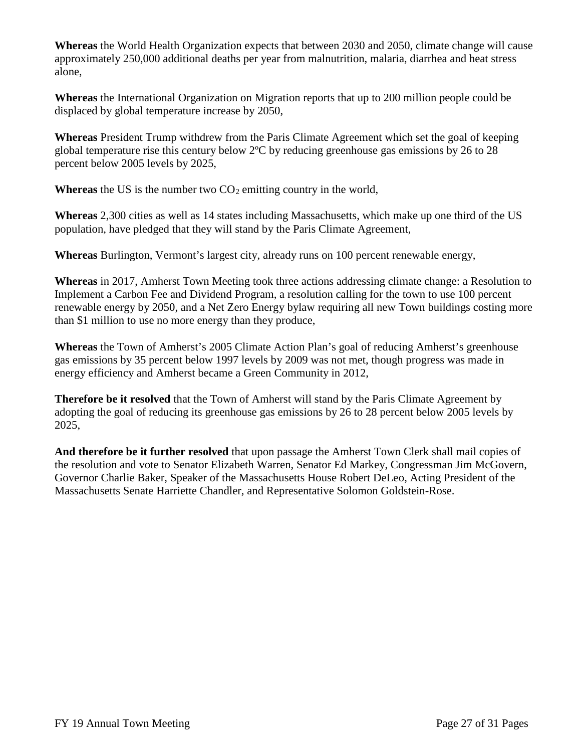**Whereas** the World Health Organization expects that between 2030 and 2050, climate change will cause approximately 250,000 additional deaths per year from malnutrition, malaria, diarrhea and heat stress alone,

**Whereas** the International Organization on Migration reports that up to 200 million people could be displaced by global temperature increase by 2050,

**Whereas** President Trump withdrew from the Paris Climate Agreement which set the goal of keeping global temperature rise this century below 2ºC by reducing greenhouse gas emissions by 26 to 28 percent below 2005 levels by 2025,

**Whereas** the US is the number two  $CO_2$  emitting country in the world,

**Whereas** 2,300 cities as well as 14 states including Massachusetts, which make up one third of the US population, have pledged that they will stand by the Paris Climate Agreement,

**Whereas** Burlington, Vermont's largest city, already runs on 100 percent renewable energy,

**Whereas** in 2017, Amherst Town Meeting took three actions addressing climate change: a Resolution to Implement a Carbon Fee and Dividend Program, a resolution calling for the town to use 100 percent renewable energy by 2050, and a Net Zero Energy bylaw requiring all new Town buildings costing more than \$1 million to use no more energy than they produce,

**Whereas** the Town of Amherst's 2005 Climate Action Plan's goal of reducing Amherst's greenhouse gas emissions by 35 percent below 1997 levels by 2009 was not met, though progress was made in energy efficiency and Amherst became a Green Community in 2012,

**Therefore be it resolved** that the Town of Amherst will stand by the Paris Climate Agreement by adopting the goal of reducing its greenhouse gas emissions by 26 to 28 percent below 2005 levels by 2025,

**And therefore be it further resolved** that upon passage the Amherst Town Clerk shall mail copies of the resolution and vote to Senator Elizabeth Warren, Senator Ed Markey, Congressman Jim McGovern, Governor Charlie Baker, Speaker of the Massachusetts House Robert DeLeo, Acting President of the Massachusetts Senate Harriette Chandler, and Representative Solomon Goldstein-Rose.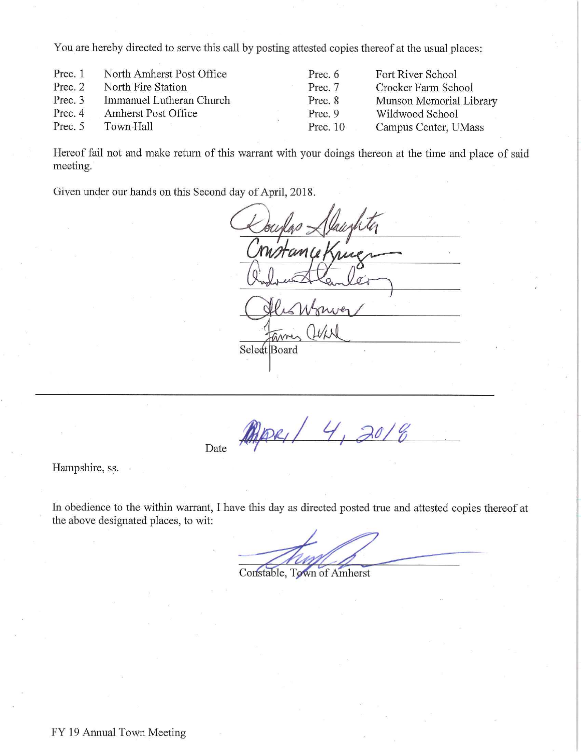You are hereby directed to serve this call by posting attested copies thereof at the usual places:

| Prec. 1 | North Amherst Post Office | Prec. 6    | Fort River School       |
|---------|---------------------------|------------|-------------------------|
| Prec. 2 | North Fire Station        | Prec. 7    | Crocker Farm School     |
| Prec. 3 | Immanuel Lutheran Church  | Prec. 8    | Munson Memorial Library |
| Prec. 4 | Amherst Post Office       | Prec. 9    | Wildwood School         |
| Prec. 5 | Town Hall                 | Prec. $10$ | Campus Center, UMass    |

Hereof fail not and make return of this warrant with your doings thereon at the time and place of said meeting.

Given under our hands on this Second day of April, 2018.

Select Board

PAPEL/ 4, 2018

Hampshire, ss.

Date

In obedience to the within warrant, I have this day as directed posted true and attested copies thereof at the above designated places, to wit:

Constable, Town of Amherst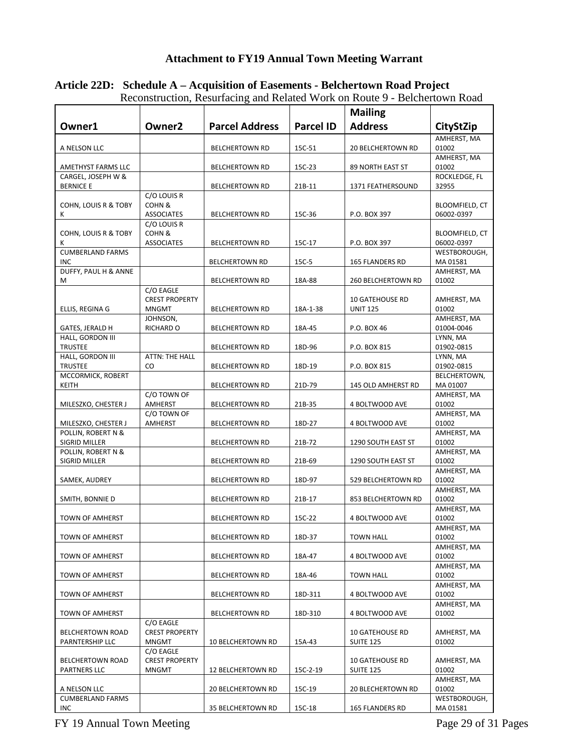# **Attachment to FY19 Annual Town Meeting Warrant**

|                                          |                            | una renace               |                  |                          |                              |
|------------------------------------------|----------------------------|--------------------------|------------------|--------------------------|------------------------------|
|                                          |                            |                          |                  | <b>Mailing</b>           |                              |
| Owner1                                   | Owner <sub>2</sub>         | <b>Parcel Address</b>    | <b>Parcel ID</b> | <b>Address</b>           | CityStZip                    |
|                                          |                            |                          |                  |                          | AMHERST, MA                  |
| A NELSON LLC                             |                            | <b>BELCHERTOWN RD</b>    | 15C-51           | <b>20 BELCHERTOWN RD</b> | 01002                        |
|                                          |                            |                          |                  |                          | AMHERST, MA                  |
| AMETHYST FARMS LLC<br>CARGEL, JOSEPH W & |                            | <b>BELCHERTOWN RD</b>    | 15C-23           | 89 NORTH EAST ST         | 01002<br>ROCKLEDGE, FL       |
| <b>BERNICE E</b>                         |                            | <b>BELCHERTOWN RD</b>    | 21B-11           | 1371 FEATHERSOUND        | 32955                        |
|                                          | C/O LOUIS R                |                          |                  |                          |                              |
| COHN, LOUIS R & TOBY<br>K                | COHN&<br><b>ASSOCIATES</b> | <b>BELCHERTOWN RD</b>    | 15C-36           | P.O. BOX 397             | BLOOMFIELD, CT<br>06002-0397 |
|                                          | C/O LOUIS R                |                          |                  |                          |                              |
| COHN, LOUIS R & TOBY                     | COHN&                      |                          |                  |                          | <b>BLOOMFIELD, CT</b>        |
| к                                        | <b>ASSOCIATES</b>          | <b>BELCHERTOWN RD</b>    | 15C-17           | P.O. BOX 397             | 06002-0397                   |
| <b>CUMBERLAND FARMS</b>                  |                            |                          |                  |                          | WESTBOROUGH,                 |
| <b>INC</b>                               |                            | <b>BELCHERTOWN RD</b>    | 15C-5            | <b>165 FLANDERS RD</b>   | MA 01581                     |
| DUFFY, PAUL H & ANNE                     |                            |                          |                  |                          | AMHERST, MA                  |
| М                                        | C/O EAGLE                  | <b>BELCHERTOWN RD</b>    | 18A-88           | 260 BELCHERTOWN RD       | 01002                        |
|                                          | <b>CREST PROPERTY</b>      |                          |                  | <b>10 GATEHOUSE RD</b>   | AMHERST, MA                  |
| ELLIS, REGINA G                          | <b>MNGMT</b>               | <b>BELCHERTOWN RD</b>    | 18A-1-38         | <b>UNIT 125</b>          | 01002                        |
|                                          | JOHNSON,                   |                          |                  |                          | AMHERST, MA                  |
| GATES, JERALD H                          | RICHARD O                  | <b>BELCHERTOWN RD</b>    | 18A-45           | P.O. BOX 46              | 01004-0046                   |
| HALL, GORDON III                         |                            |                          |                  |                          | LYNN, MA                     |
| <b>TRUSTEE</b>                           |                            | <b>BELCHERTOWN RD</b>    | 18D-96           | P.O. BOX 815             | 01902-0815                   |
| HALL, GORDON III                         | <b>ATTN: THE HALL</b>      |                          |                  |                          | LYNN, MA                     |
| <b>TRUSTEE</b>                           | CO                         | <b>BELCHERTOWN RD</b>    | 18D-19           | P.O. BOX 815             | 01902-0815                   |
| MCCORMICK, ROBERT                        |                            |                          |                  |                          | BELCHERTOWN,                 |
| KEITH                                    |                            | <b>BELCHERTOWN RD</b>    | 21D-79           | 145 OLD AMHERST RD       | MA 01007                     |
|                                          | C/O TOWN OF                |                          |                  |                          | AMHERST, MA                  |
| MILESZKO, CHESTER J                      | AMHERST                    | <b>BELCHERTOWN RD</b>    | 21B-35           | 4 BOLTWOOD AVE           | 01002                        |
| MILESZKO, CHESTER J                      | C/O TOWN OF<br>AMHERST     |                          | 18D-27           |                          | AMHERST, MA<br>01002         |
| POLLIN, ROBERT N &                       |                            | <b>BELCHERTOWN RD</b>    |                  | 4 BOLTWOOD AVE           | AMHERST, MA                  |
| SIGRID MILLER                            |                            | <b>BELCHERTOWN RD</b>    | 21B-72           | 1290 SOUTH EAST ST       | 01002                        |
| POLLIN, ROBERT N &                       |                            |                          |                  |                          | AMHERST, MA                  |
| SIGRID MILLER                            |                            | <b>BELCHERTOWN RD</b>    | 21B-69           | 1290 SOUTH EAST ST       | 01002                        |
|                                          |                            |                          |                  |                          | AMHERST, MA                  |
| SAMEK, AUDREY                            |                            | <b>BELCHERTOWN RD</b>    | 18D-97           | 529 BELCHERTOWN RD       | 01002                        |
|                                          |                            |                          |                  |                          | AMHERST, MA                  |
| SMITH, BONNIE D                          |                            | <b>BELCHERTOWN RD</b>    | 21B-17           | 853 BELCHERTOWN RD       | 01002                        |
|                                          |                            |                          |                  |                          | AMHERST, MA                  |
| <b>TOWN OF AMHERST</b>                   |                            | <b>BELCHERTOWN RD</b>    | 15C-22           | 4 BOLTWOOD AVE           | 01002                        |
|                                          |                            |                          |                  |                          | AMHERST, MA                  |
| TOWN OF AMHERST                          |                            | <b>BELCHERTOWN RD</b>    | 18D-37           | <b>TOWN HALL</b>         | 01002<br>AMHERST, MA         |
| TOWN OF AMHERST                          |                            | <b>BELCHERTOWN RD</b>    | 18A-47           | 4 BOLTWOOD AVE           | 01002                        |
|                                          |                            |                          |                  |                          | AMHERST, MA                  |
| TOWN OF AMHERST                          |                            | <b>BELCHERTOWN RD</b>    | 18A-46           | <b>TOWN HALL</b>         | 01002                        |
|                                          |                            |                          |                  |                          | AMHERST, MA                  |
| TOWN OF AMHERST                          |                            | <b>BELCHERTOWN RD</b>    | 18D-311          | 4 BOLTWOOD AVE           | 01002                        |
|                                          |                            |                          |                  |                          | AMHERST, MA                  |
| TOWN OF AMHERST                          |                            | <b>BELCHERTOWN RD</b>    | 18D-310          | 4 BOLTWOOD AVE           | 01002                        |
|                                          | C/O EAGLE                  |                          |                  |                          |                              |
| <b>BELCHERTOWN ROAD</b>                  | <b>CREST PROPERTY</b>      |                          |                  | <b>10 GATEHOUSE RD</b>   | AMHERST, MA                  |
| PARNTERSHIP LLC                          | MNGMT                      | 10 BELCHERTOWN RD        | 15A-43           | <b>SUITE 125</b>         | 01002                        |
|                                          | C/O EAGLE                  |                          |                  |                          |                              |
| <b>BELCHERTOWN ROAD</b>                  | <b>CREST PROPERTY</b>      |                          |                  | <b>10 GATEHOUSE RD</b>   | AMHERST, MA                  |
| PARTNERS LLC                             | <b>MNGMT</b>               | 12 BELCHERTOWN RD        | 15C-2-19         | <b>SUITE 125</b>         | 01002                        |
| A NELSON LLC                             |                            | <b>20 BELCHERTOWN RD</b> | 15C-19           | <b>20 BLECHERTOWN RD</b> | AMHERST, MA<br>01002         |
| <b>CUMBERLAND FARMS</b>                  |                            |                          |                  |                          | WESTBOROUGH,                 |
| INC                                      |                            | 35 BELCHERTOWN RD        | 15C-18           | 165 FLANDERS RD          | MA 01581                     |

#### **Article 22D: Schedule A – Acquisition of Easements - Belchertown Road Project** Reconstruction, Resurfacing and Related Work on Route 9 - Belchertown Road

FY 19 Annual Town Meeting Page 29 of 31 Pages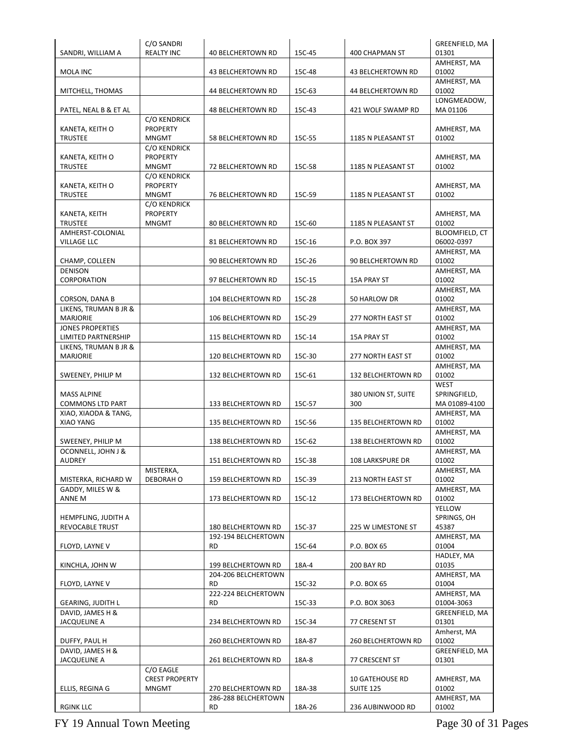| SANDRI, WILLIAM A                              | C/O SANDRI<br><b>REALTY INC</b>                        | <b>40 BELCHERTOWN RD</b>                  | 15C-45 | 400 CHAPMAN ST                             | GREENFIELD, MA<br>01301               |
|------------------------------------------------|--------------------------------------------------------|-------------------------------------------|--------|--------------------------------------------|---------------------------------------|
|                                                |                                                        |                                           |        |                                            | AMHERST, MA                           |
| MOLA INC                                       |                                                        | 43 BELCHERTOWN RD                         | 15C-48 | <b>43 BELCHERTOWN RD</b>                   | 01002                                 |
| MITCHELL, THOMAS                               |                                                        | 44 BELCHERTOWN RD                         | 15C-63 | 44 BELCHERTOWN RD                          | AMHERST, MA<br>01002                  |
| PATEL, NEAL B & ET AL                          |                                                        | <b>48 BELCHERTOWN RD</b>                  | 15C-43 | 421 WOLF SWAMP RD                          | LONGMEADOW,<br>MA 01106               |
| KANETA, KEITH O<br><b>TRUSTEE</b>              | C/O KENDRICK<br><b>PROPERTY</b><br><b>MNGMT</b>        | 58 BELCHERTOWN RD                         | 15C-55 | 1185 N PLEASANT ST                         | AMHERST, MA<br>01002                  |
| KANETA, KEITH O<br><b>TRUSTEE</b>              | C/O KENDRICK<br><b>PROPERTY</b><br><b>MNGMT</b>        | 72 BELCHERTOWN RD                         | 15C-58 | 1185 N PLEASANT ST                         | AMHERST, MA<br>01002                  |
| KANETA, KEITH O<br><b>TRUSTEE</b>              | <b>C/O KENDRICK</b><br><b>PROPERTY</b><br><b>MNGMT</b> | 76 BELCHERTOWN RD                         | 15C-59 | 1185 N PLEASANT ST                         | AMHERST, MA<br>01002                  |
| KANETA, KEITH<br><b>TRUSTEE</b>                | C/O KENDRICK<br><b>PROPERTY</b><br><b>MNGMT</b>        | <b>80 BELCHERTOWN RD</b>                  | 15C-60 | 1185 N PLEASANT ST                         | AMHERST, MA<br>01002                  |
| AMHERST-COLONIAL<br>VILLAGE LLC                |                                                        | 81 BELCHERTOWN RD                         | 15C-16 | P.O. BOX 397                               | BLOOMFIELD, CT<br>06002-0397          |
| CHAMP, COLLEEN                                 |                                                        | 90 BELCHERTOWN RD                         | 15C-26 | 90 BELCHERTOWN RD                          | AMHERST, MA<br>01002                  |
| <b>DENISON</b><br>CORPORATION                  |                                                        | 97 BELCHERTOWN RD                         | 15C-15 | <b>15A PRAY ST</b>                         | AMHERST, MA<br>01002                  |
| CORSON, DANA B                                 |                                                        | 104 BELCHERTOWN RD                        | 15C-28 | 50 HARLOW DR                               | AMHERST, MA<br>01002                  |
| LIKENS, TRUMAN B JR &<br>MARJORIE              |                                                        | 106 BELCHERTOWN RD                        | 15C-29 | 277 NORTH EAST ST                          | AMHERST, MA<br>01002                  |
| <b>JONES PROPERTIES</b><br>LIMITED PARTNERSHIP |                                                        | 115 BELCHERTOWN RD                        | 15C-14 | <b>15A PRAY ST</b>                         | AMHERST, MA<br>01002                  |
| LIKENS, TRUMAN B JR &<br>MARJORIE              |                                                        | 120 BELCHERTOWN RD                        | 15C-30 | 277 NORTH EAST ST                          | AMHERST, MA<br>01002                  |
| SWEENEY, PHILIP M                              |                                                        | 132 BELCHERTOWN RD                        | 15C-61 | 132 BELCHERTOWN RD                         | AMHERST, MA<br>01002                  |
| <b>MASS ALPINE</b><br><b>COMMONS LTD PART</b>  |                                                        | 133 BELCHERTOWN RD                        | 15C-57 | 380 UNION ST, SUITE<br>300                 | WEST<br>SPRINGFIELD,<br>MA 01089-4100 |
| XIAO, XIAODA & TANG,<br>XIAO YANG              |                                                        | 135 BELCHERTOWN RD                        | 15C-56 | 135 BELCHERTOWN RD                         | AMHERST, MA<br>01002                  |
| SWEENEY, PHILIP M                              |                                                        | 138 BELCHERTOWN RD                        | 15C-62 | 138 BELCHERTOWN RD                         | AMHERST, MA<br>01002                  |
| OCONNELL, JOHN J &<br><b>AUDREY</b>            |                                                        | 151 BELCHERTOWN RD                        | 15C-38 | 108 LARKSPURE DR                           | AMHERST, MA<br>01002                  |
| MISTERKA, RICHARD W                            | MISTERKA,<br>DEBORAH O                                 | 159 BELCHERTOWN RD                        | 15C-39 | 213 NORTH EAST ST                          | AMHERST, MA<br>01002                  |
| GADDY, MILES W &<br>ANNE M                     |                                                        | 173 BELCHERTOWN RD                        | 15C-12 | 173 BELCHERTOWN RD                         | AMHERST, MA<br>01002                  |
| HEMPFLING, JUDITH A                            |                                                        |                                           |        |                                            | <b>YELLOW</b><br>SPRINGS, OH          |
| REVOCABLE TRUST                                |                                                        | 180 BELCHERTOWN RD<br>192-194 BELCHERTOWN | 15C-37 | 225 W LIMESTONE ST                         | 45387<br>AMHERST, MA                  |
| FLOYD, LAYNE V                                 |                                                        | RD                                        | 15C-64 | P.O. BOX 65                                | 01004<br>HADLEY, MA                   |
| KINCHLA, JOHN W                                |                                                        | 199 BELCHERTOWN RD<br>204-206 BELCHERTOWN | 18A-4  | 200 BAY RD                                 | 01035                                 |
| FLOYD, LAYNE V                                 |                                                        | RD                                        | 15C-32 | P.O. BOX 65                                | AMHERST, MA<br>01004                  |
| <b>GEARING, JUDITH L</b>                       |                                                        | 222-224 BELCHERTOWN<br>RD                 | 15C-33 | P.O. BOX 3063                              | AMHERST, MA<br>01004-3063             |
| DAVID, JAMES H &<br><b>JACQUELINE A</b>        |                                                        | 234 BELCHERTOWN RD                        | 15C-34 | 77 CRESENT ST                              | GREENFIELD, MA<br>01301               |
| DUFFY, PAUL H                                  |                                                        | 260 BELCHERTOWN RD                        | 18A-87 | 260 BELCHERTOWN RD                         | Amherst, MA<br>01002                  |
| DAVID, JAMES H &<br><b>JACQUELINE A</b>        |                                                        | 261 BELCHERTOWN RD                        | 18A-8  | 77 CRESCENT ST                             | GREENFIELD, MA<br>01301               |
| ELLIS, REGINA G                                | C/O EAGLE<br><b>CREST PROPERTY</b><br><b>MNGMT</b>     | 270 BELCHERTOWN RD                        | 18A-38 | <b>10 GATEHOUSE RD</b><br><b>SUITE 125</b> | AMHERST, MA<br>01002                  |
| <b>RGINK LLC</b>                               |                                                        | 286-288 BELCHERTOWN<br><b>RD</b>          | 18A-26 | 236 AUBINWOOD RD                           | AMHERST, MA<br>01002                  |
|                                                |                                                        |                                           |        |                                            |                                       |

FY 19 Annual Town Meeting Page 30 of 31 Pages